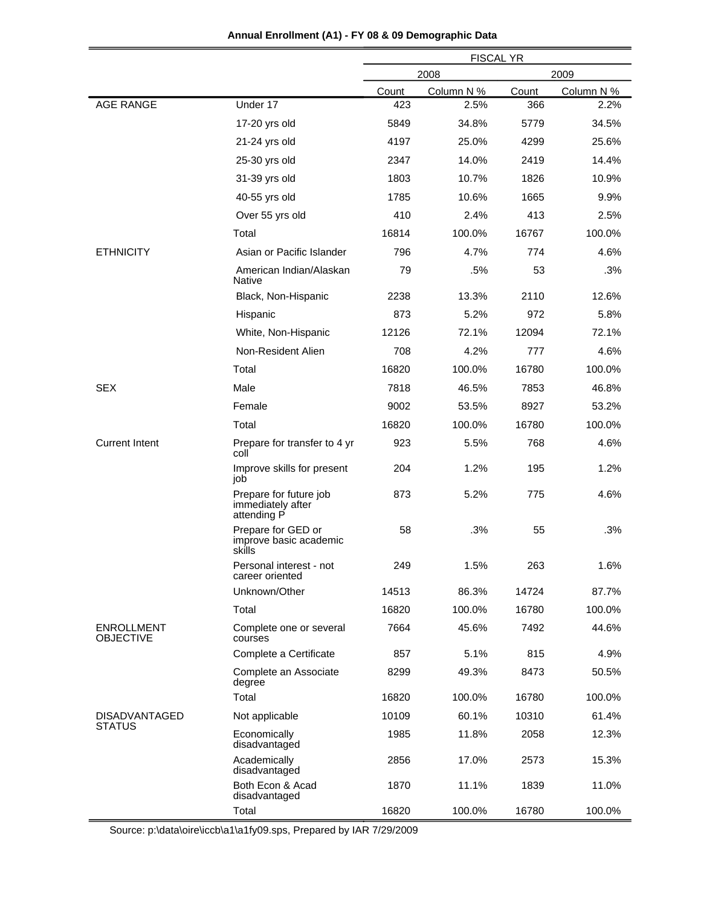|                                       |                                                            | <b>FISCAL YR</b> |            |       |            |
|---------------------------------------|------------------------------------------------------------|------------------|------------|-------|------------|
|                                       |                                                            | 2008<br>2009     |            |       |            |
|                                       |                                                            | Count            | Column N % | Count | Column N % |
| <b>AGE RANGE</b>                      | Under 17                                                   | 423              | 2.5%       | 366   | 2.2%       |
|                                       | 17-20 yrs old                                              | 5849             | 34.8%      | 5779  | 34.5%      |
|                                       | 21-24 yrs old                                              | 4197             | 25.0%      | 4299  | 25.6%      |
|                                       | 25-30 yrs old                                              | 2347             | 14.0%      | 2419  | 14.4%      |
|                                       | 31-39 yrs old                                              | 1803             | 10.7%      | 1826  | 10.9%      |
|                                       | 40-55 yrs old                                              | 1785             | 10.6%      | 1665  | 9.9%       |
|                                       | Over 55 yrs old                                            | 410              | 2.4%       | 413   | 2.5%       |
|                                       | Total                                                      | 16814            | 100.0%     | 16767 | 100.0%     |
| <b>ETHNICITY</b>                      | Asian or Pacific Islander                                  | 796              | 4.7%       | 774   | 4.6%       |
|                                       | American Indian/Alaskan<br>Native                          | 79               | .5%        | 53    | .3%        |
|                                       | Black, Non-Hispanic                                        | 2238             | 13.3%      | 2110  | 12.6%      |
|                                       | Hispanic                                                   | 873              | 5.2%       | 972   | 5.8%       |
|                                       | White, Non-Hispanic                                        | 12126            | 72.1%      | 12094 | 72.1%      |
|                                       | Non-Resident Alien                                         | 708              | 4.2%       | 777   | 4.6%       |
|                                       | Total                                                      | 16820            | 100.0%     | 16780 | 100.0%     |
| <b>SEX</b>                            | Male                                                       | 7818             | 46.5%      | 7853  | 46.8%      |
|                                       | Female                                                     | 9002             | 53.5%      | 8927  | 53.2%      |
|                                       | Total                                                      | 16820            | 100.0%     | 16780 | 100.0%     |
| <b>Current Intent</b>                 | Prepare for transfer to 4 yr<br>coll                       | 923              | 5.5%       | 768   | 4.6%       |
|                                       | Improve skills for present<br>iob                          | 204              | 1.2%       | 195   | 1.2%       |
|                                       | Prepare for future job<br>immediately after<br>attending P | 873              | 5.2%       | 775   | 4.6%       |
|                                       | Prepare for GED or<br>improve basic academic<br>skills     | 58               | .3%        | 55    | .3%        |
|                                       | Personal interest - not<br>career oriented                 | 249              | 1.5%       | 263   | 1.6%       |
|                                       | Unknown/Other                                              | 14513            | 86.3%      | 14724 | 87.7%      |
|                                       | Total                                                      | 16820            | 100.0%     | 16780 | 100.0%     |
| <b>ENROLLMENT</b><br><b>OBJECTIVE</b> | Complete one or several<br>courses                         | 7664             | 45.6%      | 7492  | 44.6%      |
|                                       | Complete a Certificate                                     | 857              | 5.1%       | 815   | 4.9%       |
|                                       | Complete an Associate<br>degree                            | 8299             | 49.3%      | 8473  | 50.5%      |
|                                       | Total                                                      | 16820            | 100.0%     | 16780 | 100.0%     |
| <b>DISADVANTAGED</b>                  | Not applicable                                             | 10109            | 60.1%      | 10310 | 61.4%      |
| <b>STATUS</b>                         | Economically<br>disadvantaged                              | 1985             | 11.8%      | 2058  | 12.3%      |
|                                       | Academically<br>disadvantaged                              | 2856             | 17.0%      | 2573  | 15.3%      |
|                                       | Both Econ & Acad<br>disadvantaged                          | 1870             | 11.1%      | 1839  | 11.0%      |
|                                       | Total                                                      | 16820            | 100.0%     | 16780 | 100.0%     |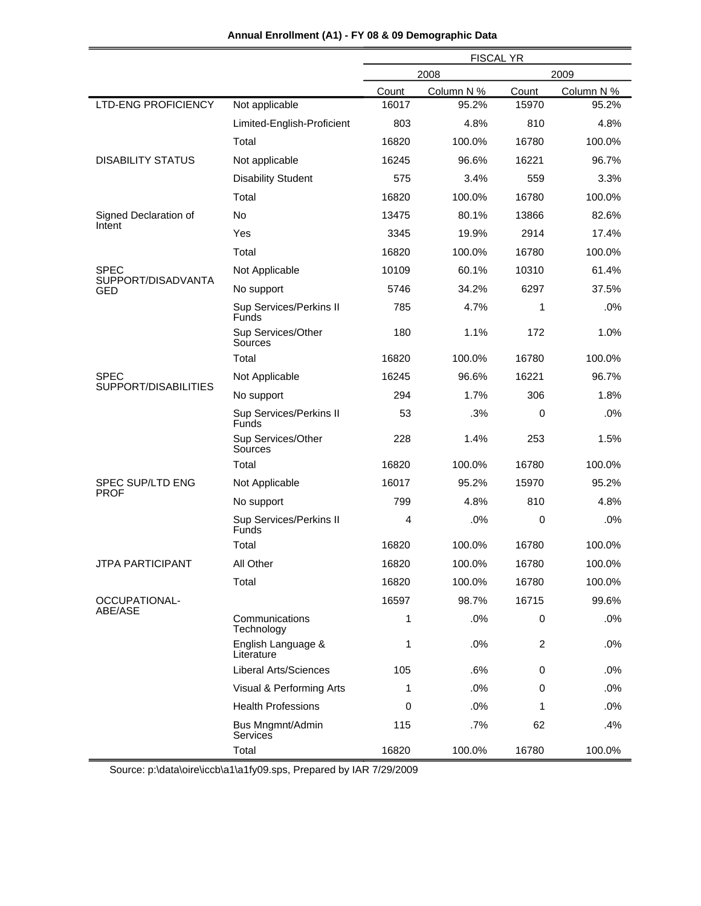|                                 |                                         | <b>FISCAL YR</b> |            |                |            |
|---------------------------------|-----------------------------------------|------------------|------------|----------------|------------|
|                                 |                                         | 2009<br>2008     |            |                |            |
|                                 |                                         | Count            | Column N % | Count          | Column N % |
| <b>LTD-ENG PROFICIENCY</b>      | Not applicable                          | 16017            | 95.2%      | 15970          | 95.2%      |
|                                 | Limited-English-Proficient              | 803              | 4.8%       | 810            | 4.8%       |
|                                 | Total                                   | 16820            | 100.0%     | 16780          | 100.0%     |
| <b>DISABILITY STATUS</b>        | Not applicable                          | 16245            | 96.6%      | 16221          | 96.7%      |
|                                 | <b>Disability Student</b>               | 575              | 3.4%       | 559            | 3.3%       |
|                                 | Total                                   | 16820            | 100.0%     | 16780          | 100.0%     |
| Signed Declaration of           | No                                      | 13475            | 80.1%      | 13866          | 82.6%      |
| Intent                          | Yes                                     | 3345             | 19.9%      | 2914           | 17.4%      |
|                                 | Total                                   | 16820            | 100.0%     | 16780          | 100.0%     |
| <b>SPEC</b>                     | Not Applicable                          | 10109            | 60.1%      | 10310          | 61.4%      |
| SUPPORT/DISADVANTA<br>GED       | No support                              | 5746             | 34.2%      | 6297           | 37.5%      |
|                                 | Sup Services/Perkins II<br><b>Funds</b> | 785              | 4.7%       | 1              | .0%        |
|                                 | Sup Services/Other<br>Sources           | 180              | 1.1%       | 172            | 1.0%       |
|                                 | Total                                   | 16820            | 100.0%     | 16780          | 100.0%     |
| <b>SPEC</b>                     | Not Applicable                          | 16245            | 96.6%      | 16221          | 96.7%      |
| SUPPORT/DISABILITIES            | No support                              | 294              | 1.7%       | 306            | 1.8%       |
|                                 | Sup Services/Perkins II<br>Funds        | 53               | .3%        | $\mathbf 0$    | .0%        |
|                                 | Sup Services/Other<br>Sources           | 228              | 1.4%       | 253            | 1.5%       |
|                                 | Total                                   | 16820            | 100.0%     | 16780          | 100.0%     |
| SPEC SUP/LTD ENG<br><b>PROF</b> | Not Applicable                          | 16017            | 95.2%      | 15970          | 95.2%      |
|                                 | No support                              | 799              | 4.8%       | 810            | 4.8%       |
|                                 | Sup Services/Perkins II<br>Funds        | 4                | .0%        | $\mathbf 0$    | .0%        |
|                                 | Total                                   | 16820            | 100.0%     | 16780          | 100.0%     |
| <b>JTPA PARTICIPANT</b>         | All Other                               | 16820            | 100.0%     | 16780          | 100.0%     |
|                                 | Total                                   | 16820            | 100.0%     | 16780          | 100.0%     |
| OCCUPATIONAL-                   |                                         | 16597            | 98.7%      | 16715          | 99.6%      |
| ABE/ASE                         | Communications<br>Technology            | 1                | .0%        | 0              | .0%        |
|                                 | English Language &<br>Literature        | 1                | .0%        | $\overline{2}$ | .0%        |
|                                 | <b>Liberal Arts/Sciences</b>            | 105              | .6%        | 0              | .0%        |
|                                 | Visual & Performing Arts                | 1                | .0%        | 0              | .0%        |
|                                 | <b>Health Professions</b>               | 0                | .0%        | 1              | .0%        |
|                                 | Bus Mngmnt/Admin<br>Services            | 115              | .7%        | 62             | .4%        |
|                                 | Total                                   | 16820            | 100.0%     | 16780          | 100.0%     |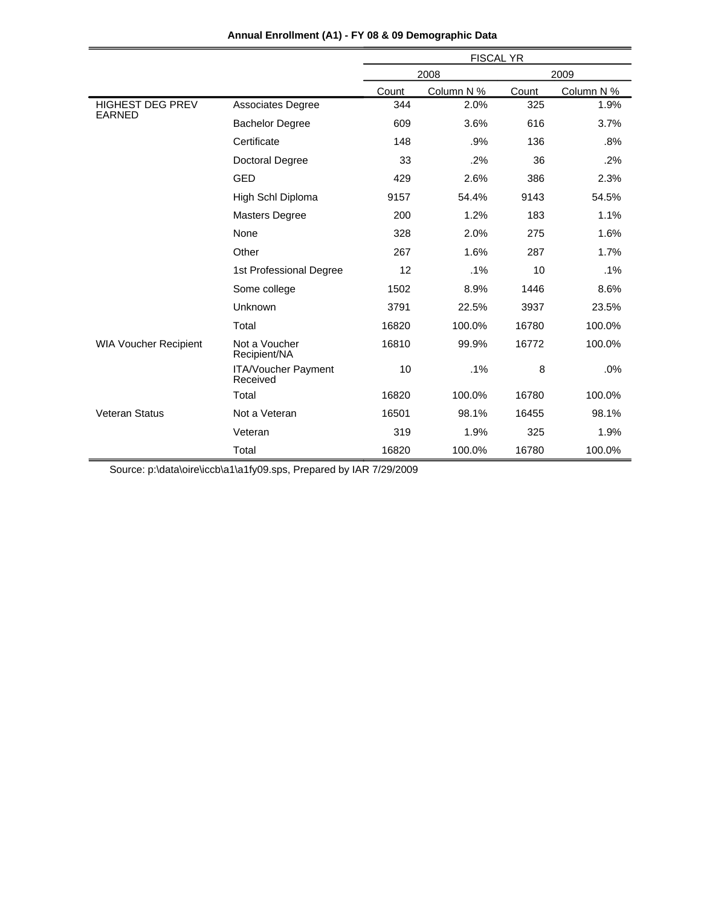|                                          |                                        | <b>FISCAL YR</b> |            |       |            |  |
|------------------------------------------|----------------------------------------|------------------|------------|-------|------------|--|
|                                          |                                        |                  | 2008       |       | 2009       |  |
|                                          |                                        | Count            | Column N % | Count | Column N % |  |
| <b>HIGHEST DEG PREV</b><br><b>EARNED</b> | Associates Degree                      | 344              | 2.0%       | 325   | 1.9%       |  |
|                                          | <b>Bachelor Degree</b>                 | 609              | 3.6%       | 616   | 3.7%       |  |
|                                          | Certificate                            | 148              | .9%        | 136   | .8%        |  |
|                                          | <b>Doctoral Degree</b>                 | 33               | .2%        | 36    | .2%        |  |
|                                          | GED                                    | 429              | 2.6%       | 386   | 2.3%       |  |
|                                          | High Schl Diploma                      | 9157             | 54.4%      | 9143  | 54.5%      |  |
|                                          | <b>Masters Degree</b>                  | 200              | 1.2%       | 183   | 1.1%       |  |
|                                          | None                                   | 328              | 2.0%       | 275   | 1.6%       |  |
|                                          | Other                                  | 267              | 1.6%       | 287   | 1.7%       |  |
|                                          | 1st Professional Degree                | 12               | .1%        | 10    | .1%        |  |
|                                          | Some college                           | 1502             | 8.9%       | 1446  | 8.6%       |  |
|                                          | Unknown                                | 3791             | 22.5%      | 3937  | 23.5%      |  |
|                                          | Total                                  | 16820            | 100.0%     | 16780 | 100.0%     |  |
| <b>WIA Voucher Recipient</b>             | Not a Voucher<br>Recipient/NA          | 16810            | 99.9%      | 16772 | 100.0%     |  |
|                                          | <b>ITA/Voucher Payment</b><br>Received | 10               | .1%        | 8     | .0%        |  |
|                                          | Total                                  | 16820            | 100.0%     | 16780 | 100.0%     |  |
| <b>Veteran Status</b>                    | Not a Veteran                          | 16501            | 98.1%      | 16455 | 98.1%      |  |
|                                          | Veteran                                | 319              | 1.9%       | 325   | 1.9%       |  |
|                                          | Total                                  | 16820            | 100.0%     | 16780 | 100.0%     |  |

**Annual Enrollment (A1) - FY 08 & 09 Demographic Data**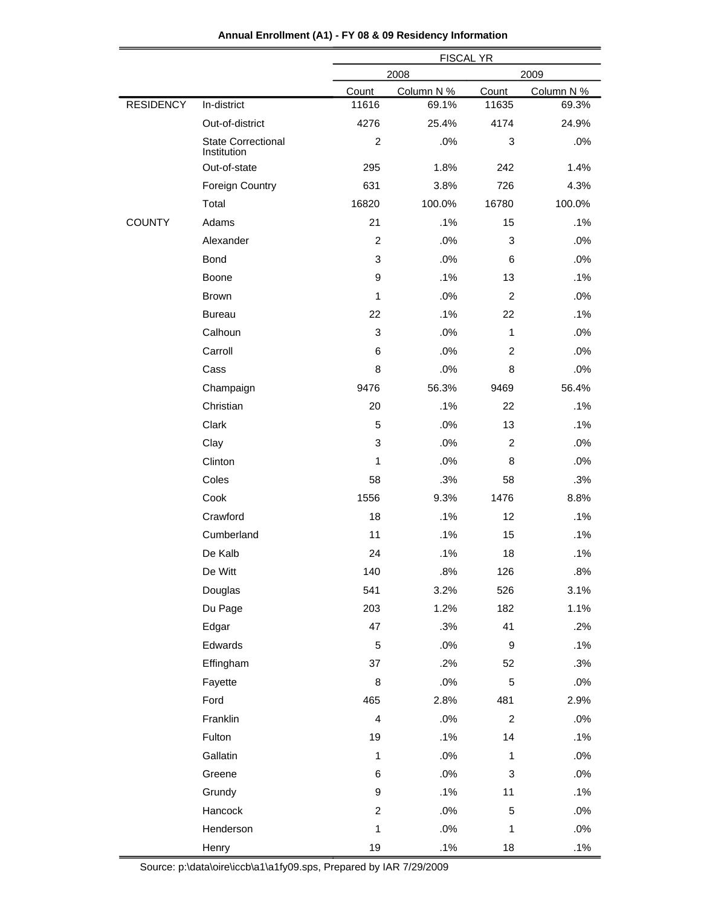|                  |                                          | <b>FISCAL YR</b> |              |                |            |  |
|------------------|------------------------------------------|------------------|--------------|----------------|------------|--|
|                  |                                          |                  | 2008<br>2009 |                |            |  |
|                  |                                          | Count            | Column N %   | Count          | Column N % |  |
| <b>RESIDENCY</b> | In-district                              | 11616            | 69.1%        | 11635          | 69.3%      |  |
|                  | Out-of-district                          | 4276             | 25.4%        | 4174           | 24.9%      |  |
|                  | <b>State Correctional</b><br>Institution | $\overline{2}$   | .0%          | 3              | .0%        |  |
|                  | Out-of-state                             | 295              | 1.8%         | 242            | 1.4%       |  |
|                  | <b>Foreign Country</b>                   | 631              | 3.8%         | 726            | 4.3%       |  |
|                  | Total                                    | 16820            | 100.0%       | 16780          | 100.0%     |  |
| <b>COUNTY</b>    | Adams                                    | 21               | .1%          | 15             | .1%        |  |
|                  | Alexander                                | $\overline{c}$   | .0%          | 3              | .0%        |  |
|                  | Bond                                     | 3                | .0%          | 6              | .0%        |  |
|                  | Boone                                    | 9                | .1%          | 13             | .1%        |  |
|                  | <b>Brown</b>                             | 1                | .0%          | $\overline{2}$ | .0%        |  |
|                  | <b>Bureau</b>                            | 22               | .1%          | 22             | .1%        |  |
|                  | Calhoun                                  | 3                | .0%          | $\mathbf{1}$   | .0%        |  |
|                  | Carroll                                  | 6                | .0%          | $\overline{2}$ | .0%        |  |
|                  | Cass                                     | 8                | .0%          | 8              | .0%        |  |
|                  | Champaign                                | 9476             | 56.3%        | 9469           | 56.4%      |  |
|                  | Christian                                | 20               | .1%          | 22             | .1%        |  |
|                  | Clark                                    | 5                | .0%          | 13             | .1%        |  |
|                  | Clay                                     | 3                | .0%          | $\overline{c}$ | .0%        |  |
|                  | Clinton                                  | 1                | .0%          | 8              | .0%        |  |
|                  | Coles                                    | 58               | .3%          | 58             | .3%        |  |
|                  | Cook                                     | 1556             | 9.3%         | 1476           | 8.8%       |  |
|                  | Crawford                                 | 18               | .1%          | 12             | .1%        |  |
|                  | Cumberland                               | 11               | .1%          | 15             | .1%        |  |
|                  | De Kalb                                  | 24               | .1%          | 18             | .1%        |  |
|                  | De Witt                                  | 140              | .8%          | 126            | .8%        |  |
|                  | Douglas                                  | 541              | 3.2%         | 526            | 3.1%       |  |
|                  | Du Page                                  | 203              | 1.2%         | 182            | 1.1%       |  |
|                  | Edgar                                    | 47               | .3%          | 41             | .2%        |  |
|                  | Edwards                                  | 5                | .0%          | 9              | .1%        |  |
|                  | Effingham                                | 37               | .2%          | 52             | .3%        |  |
|                  | Fayette                                  | 8                | .0%          | 5              | $.0\%$     |  |
|                  | Ford                                     | 465              | 2.8%         | 481            | 2.9%       |  |
|                  | Franklin                                 | $\overline{4}$   | .0%          | $\overline{a}$ | .0%        |  |
|                  | Fulton                                   | 19               | .1%          | 14             | .1%        |  |
|                  | Gallatin                                 | $\mathbf{1}$     | .0%          | $\mathbf{1}$   | $.0\%$     |  |
|                  | Greene                                   | 6                | .0%          | 3              | $.0\%$     |  |
|                  | Grundy                                   | 9                | .1%          | 11             | .1%        |  |
|                  | Hancock                                  | $\overline{c}$   | .0%          | 5              | $.0\%$     |  |
|                  | Henderson                                | $\mathbf{1}$     | $.0\%$       | $\mathbf{1}$   | $.0\%$     |  |
|                  | Henry                                    | 19               | .1%          | 18             | .1%        |  |
|                  |                                          |                  |              |                |            |  |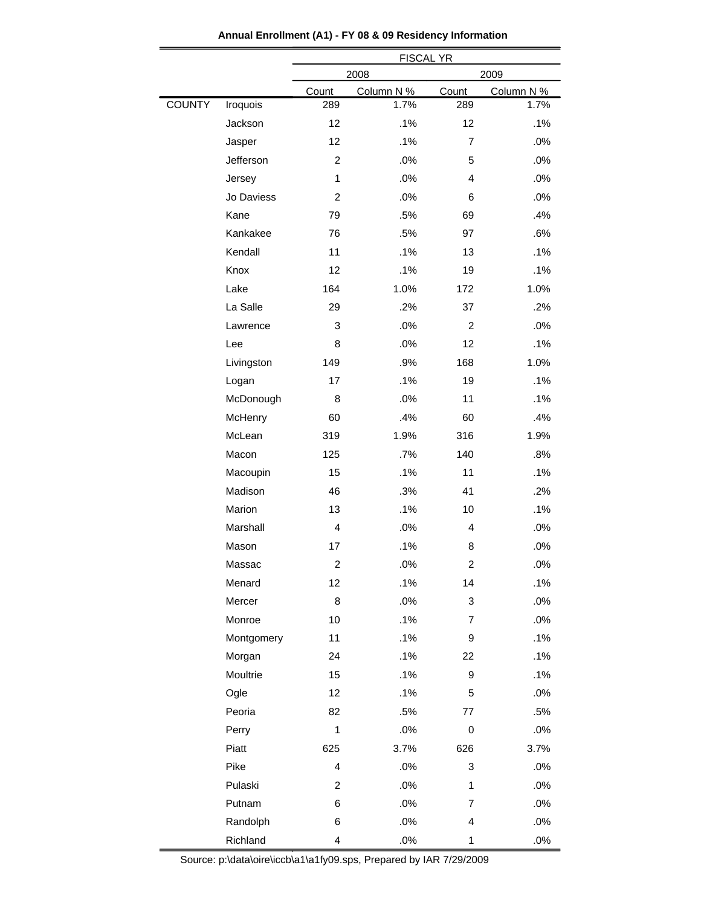|                           |                         | <b>FISCAL YR</b> |                         |            |  |  |
|---------------------------|-------------------------|------------------|-------------------------|------------|--|--|
|                           |                         | 2008<br>2009     |                         |            |  |  |
|                           | Count                   | Column N %       | Count                   | Column N % |  |  |
| <b>COUNTY</b><br>Iroquois | 289                     | 1.7%             | 289                     | 1.7%       |  |  |
| Jackson                   | 12                      | .1%              | 12                      | .1%        |  |  |
| Jasper                    | 12                      | .1%              | $\overline{7}$          | .0%        |  |  |
| Jefferson                 | $\overline{c}$          | .0%              | 5                       | .0%        |  |  |
| Jersey                    | 1                       | .0%              | $\overline{4}$          | .0%        |  |  |
| Jo Daviess                | $\overline{c}$          | .0%              | 6                       | .0%        |  |  |
| Kane                      | 79                      | .5%              | 69                      | .4%        |  |  |
| Kankakee                  | 76                      | .5%              | 97                      | .6%        |  |  |
| Kendall                   | 11                      | .1%              | 13                      | .1%        |  |  |
| Knox                      | 12                      | .1%              | 19                      | .1%        |  |  |
| Lake                      | 164                     | 1.0%             | 172                     | 1.0%       |  |  |
| La Salle                  | 29                      | .2%              | 37                      | .2%        |  |  |
| Lawrence                  | 3                       | .0%              | $\overline{2}$          | .0%        |  |  |
| Lee                       | 8                       | .0%              | 12                      | .1%        |  |  |
| Livingston                | 149                     | .9%              | 168                     | 1.0%       |  |  |
| Logan                     | 17                      | .1%              | 19                      | .1%        |  |  |
| McDonough                 | 8                       | .0%              | 11                      | .1%        |  |  |
| McHenry                   | 60                      | .4%              | 60                      | .4%        |  |  |
| McLean                    | 319                     | 1.9%             | 316                     | 1.9%       |  |  |
| Macon                     | 125                     | .7%              | 140                     | .8%        |  |  |
| Macoupin                  | 15                      | .1%              | 11                      | .1%        |  |  |
| Madison                   | 46                      | .3%              | 41                      | .2%        |  |  |
| Marion                    | 13                      | .1%              | 10                      | .1%        |  |  |
| Marshall                  | 4                       | .0%              | $\overline{4}$          | .0%        |  |  |
| Mason                     | 17                      | .1%              | 8                       | .0%        |  |  |
| Massac                    | $\overline{\mathbf{c}}$ | .0%              | $\overline{\mathbf{c}}$ | .0%        |  |  |
| Menard                    | 12                      | .1%              | 14                      | .1%        |  |  |
| Mercer                    | 8                       | .0%              | 3                       | .0%        |  |  |
| Monroe                    | 10                      | .1%              | 7                       | .0%        |  |  |
| Montgomery                | 11                      | .1%              | 9                       | .1%        |  |  |
| Morgan                    | 24                      | .1%              | 22                      | .1%        |  |  |
| Moultrie                  | 15                      | .1%              | 9                       | .1%        |  |  |
| Ogle                      | 12                      | .1%              | 5                       | .0%        |  |  |
| Peoria                    | 82                      | .5%              | 77                      | .5%        |  |  |
| Perry                     | $\mathbf{1}$            | $.0\%$           | 0                       | .0%        |  |  |
| Piatt                     | 625                     | 3.7%             | 626                     | 3.7%       |  |  |
| Pike                      | $\overline{\mathbf{4}}$ | .0%              | 3                       | .0%        |  |  |
| Pulaski                   | $\overline{c}$          | .0%              | $\mathbf 1$             | .0%        |  |  |
| Putnam                    | 6                       | .0%              | $\overline{7}$          | .0%        |  |  |
| Randolph                  | 6                       | .0%              | 4                       | .0%        |  |  |
| Richland                  | 4                       | .0%              | $\mathbf 1$             | .0%        |  |  |

**Annual Enrollment (A1) - FY 08 & 09 Residency Information**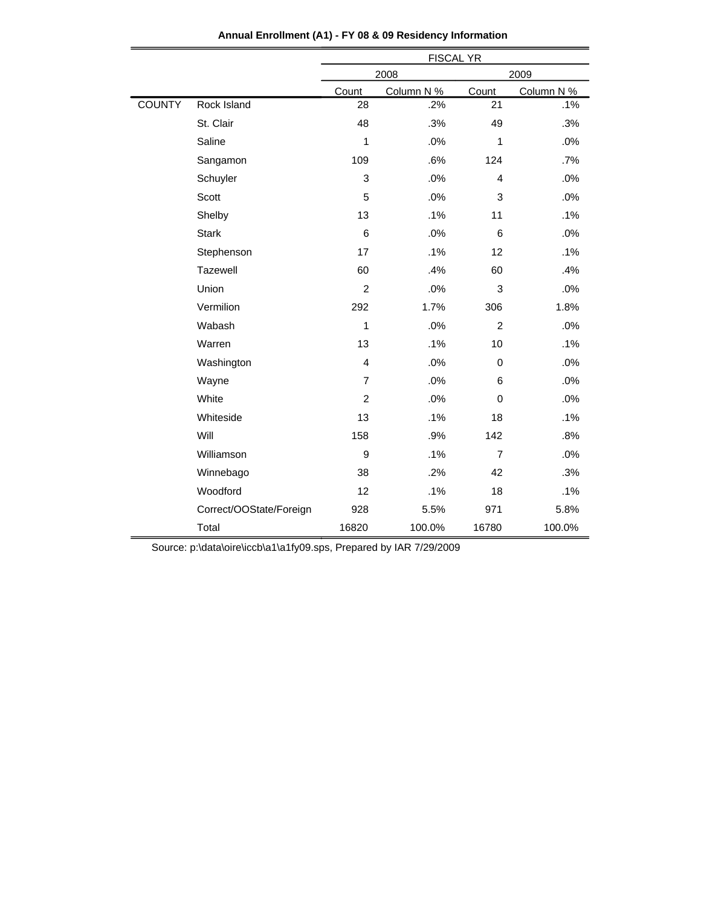|               |                         | <b>FISCAL YR</b> |            |                |            |  |
|---------------|-------------------------|------------------|------------|----------------|------------|--|
|               |                         |                  | 2008       |                | 2009       |  |
|               |                         | Count            | Column N % | Count          | Column N % |  |
| <b>COUNTY</b> | Rock Island             | 28               | .2%        | 21             | .1%        |  |
|               | St. Clair               | 48               | .3%        | 49             | .3%        |  |
|               | Saline                  | 1                | .0%        | 1              | .0%        |  |
|               | Sangamon                | 109              | .6%        | 124            | $.7\%$     |  |
|               | Schuyler                | 3                | .0%        | $\overline{4}$ | .0%        |  |
|               | Scott                   | 5                | .0%        | $\sqrt{3}$     | .0%        |  |
|               | Shelby                  | 13               | .1%        | 11             | .1%        |  |
|               | <b>Stark</b>            | 6                | .0%        | 6              | .0%        |  |
|               | Stephenson              | 17               | .1%        | 12             | .1%        |  |
|               | Tazewell                | 60               | .4%        | 60             | .4%        |  |
|               | Union                   | $\overline{c}$   | .0%        | $\sqrt{3}$     | .0%        |  |
|               | Vermilion               | 292              | 1.7%       | 306            | 1.8%       |  |
|               | Wabash                  | 1                | .0%        | $\overline{2}$ | .0%        |  |
|               | Warren                  | 13               | .1%        | 10             | .1%        |  |
|               | Washington              | 4                | .0%        | $\pmb{0}$      | .0%        |  |
|               | Wayne                   | $\overline{7}$   | .0%        | 6              | .0%        |  |
|               | White                   | $\overline{c}$   | .0%        | 0              | .0%        |  |
|               | Whiteside               | 13               | .1%        | 18             | .1%        |  |
|               | Will                    | 158              | .9%        | 142            | .8%        |  |
|               | Williamson              | $\boldsymbol{9}$ | .1%        | $\overline{7}$ | .0%        |  |
|               | Winnebago               | 38               | .2%        | 42             | .3%        |  |
|               | Woodford                | 12               | .1%        | 18             | .1%        |  |
|               | Correct/OOState/Foreign | 928              | 5.5%       | 971            | 5.8%       |  |
|               | Total                   | 16820            | 100.0%     | 16780          | 100.0%     |  |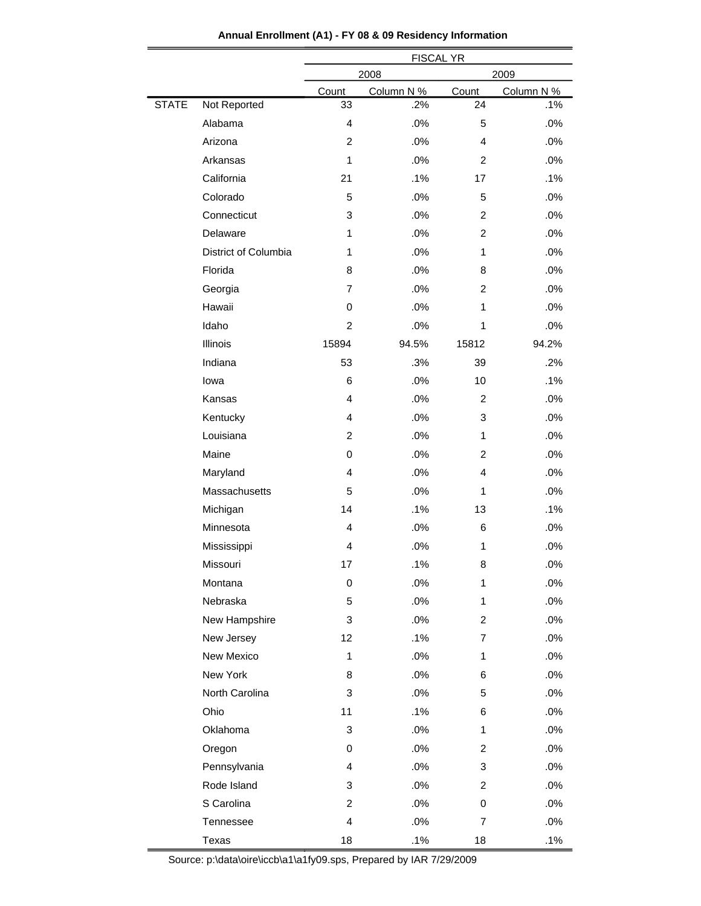|              |                      | <b>FISCAL YR</b>          |            |                |            |  |  |  |
|--------------|----------------------|---------------------------|------------|----------------|------------|--|--|--|
|              |                      |                           | 2008       |                | 2009       |  |  |  |
|              |                      | Count                     | Column N % | Count          | Column N % |  |  |  |
| <b>STATE</b> | Not Reported         | 33                        | .2%        | 24             | .1%        |  |  |  |
|              | Alabama              | $\overline{4}$            | .0%        | 5              | .0%        |  |  |  |
|              | Arizona              | $\overline{2}$            | .0%        | 4              | .0%        |  |  |  |
|              | Arkansas             | $\mathbf{1}$              | .0%        | $\overline{2}$ | .0%        |  |  |  |
|              | California           | 21                        | .1%        | 17             | .1%        |  |  |  |
|              | Colorado             | 5                         | .0%        | 5              | .0%        |  |  |  |
|              | Connecticut          | 3                         | .0%        | $\overline{2}$ | .0%        |  |  |  |
|              | Delaware             | 1                         | .0%        | $\overline{2}$ | .0%        |  |  |  |
|              | District of Columbia | 1                         | .0%        | $\mathbf{1}$   | .0%        |  |  |  |
|              | Florida              | 8                         | .0%        | 8              | .0%        |  |  |  |
|              | Georgia              | $\overline{7}$            | .0%        | $\overline{c}$ | .0%        |  |  |  |
|              | Hawaii               | 0                         | .0%        | 1              | .0%        |  |  |  |
|              | Idaho                | $\overline{c}$            | .0%        | $\mathbf{1}$   | .0%        |  |  |  |
|              | Illinois             | 15894                     | 94.5%      | 15812          | 94.2%      |  |  |  |
|              | Indiana              | 53                        | .3%        | 39             | .2%        |  |  |  |
|              | lowa                 | 6                         | .0%        | 10             | .1%        |  |  |  |
|              | Kansas               | $\overline{4}$            | .0%        | $\overline{c}$ | .0%        |  |  |  |
|              | Kentucky             | $\overline{4}$            | .0%        | 3              | .0%        |  |  |  |
|              | Louisiana            | $\overline{2}$            | .0%        | 1              | .0%        |  |  |  |
|              | Maine                | 0                         | .0%        | $\overline{c}$ | .0%        |  |  |  |
|              | Maryland             | 4                         | .0%        | 4              | .0%        |  |  |  |
|              | Massachusetts        | 5                         | .0%        | 1              | .0%        |  |  |  |
|              | Michigan             | 14                        | .1%        | 13             | .1%        |  |  |  |
|              | Minnesota            | 4                         | .0%        | 6              | .0%        |  |  |  |
|              | Mississippi          | $\overline{4}$            | .0%        | $\mathbf{1}$   | .0%        |  |  |  |
|              | Missouri             | 17                        | .1%        | 8              | .0%        |  |  |  |
|              | Montana              | 0                         | .0%        | 1              | .0%        |  |  |  |
|              | Nebraska             | 5                         | .0%        | 1              | .0%        |  |  |  |
|              | New Hampshire        | 3                         | .0%        | $\overline{2}$ | .0%        |  |  |  |
|              | New Jersey           | 12                        | .1%        | 7              | .0%        |  |  |  |
|              | New Mexico           | 1                         | .0%        | 1              | .0%        |  |  |  |
|              | New York             | 8                         | .0%        | 6              | .0%        |  |  |  |
|              | North Carolina       | 3                         | .0%        | 5              | .0%        |  |  |  |
|              | Ohio                 | 11                        | .1%        | 6              | .0%        |  |  |  |
|              | Oklahoma             | $\ensuremath{\mathsf{3}}$ | .0%        | 1              | .0%        |  |  |  |
|              | Oregon               | 0                         | .0%        | 2              | .0%        |  |  |  |
|              | Pennsylvania         | 4                         | .0%        | 3              | .0%        |  |  |  |
|              | Rode Island          | 3                         | .0%        | $\overline{2}$ | .0%        |  |  |  |
|              | S Carolina           | $\overline{c}$            | .0%        | 0              | .0%        |  |  |  |
|              | Tennessee            | 4                         | .0%        | 7              | .0%        |  |  |  |
|              | Texas                | 18                        | .1%        | 18             | .1%        |  |  |  |

**Annual Enrollment (A1) - FY 08 & 09 Residency Information**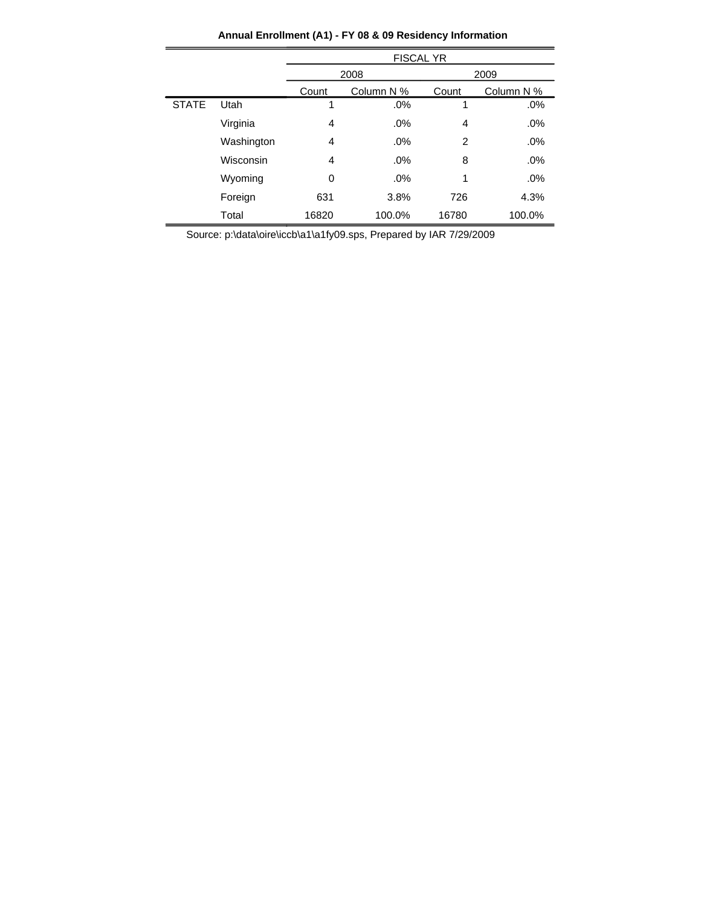|              |            | <b>FISCAL YR</b> |            |       |            |  |
|--------------|------------|------------------|------------|-------|------------|--|
|              |            |                  | 2008       |       | 2009       |  |
|              |            | Count            | Column N % | Count | Column N % |  |
| <b>STATE</b> | Utah       | 1                | .0%        | 1     | .0%        |  |
|              | Virginia   | 4                | .0%        | 4     | .0%        |  |
|              | Washington | 4                | .0%        | 2     | .0%        |  |
|              | Wisconsin  | 4                | .0%        | 8     | .0%        |  |
|              | Wyoming    | 0                | .0%        | 1     | .0%        |  |
|              | Foreign    | 631              | 3.8%       | 726   | 4.3%       |  |
|              | Total      | 16820            | 100.0%     | 16780 | 100.0%     |  |

**Annual Enrollment (A1) - FY 08 & 09 Residency Information**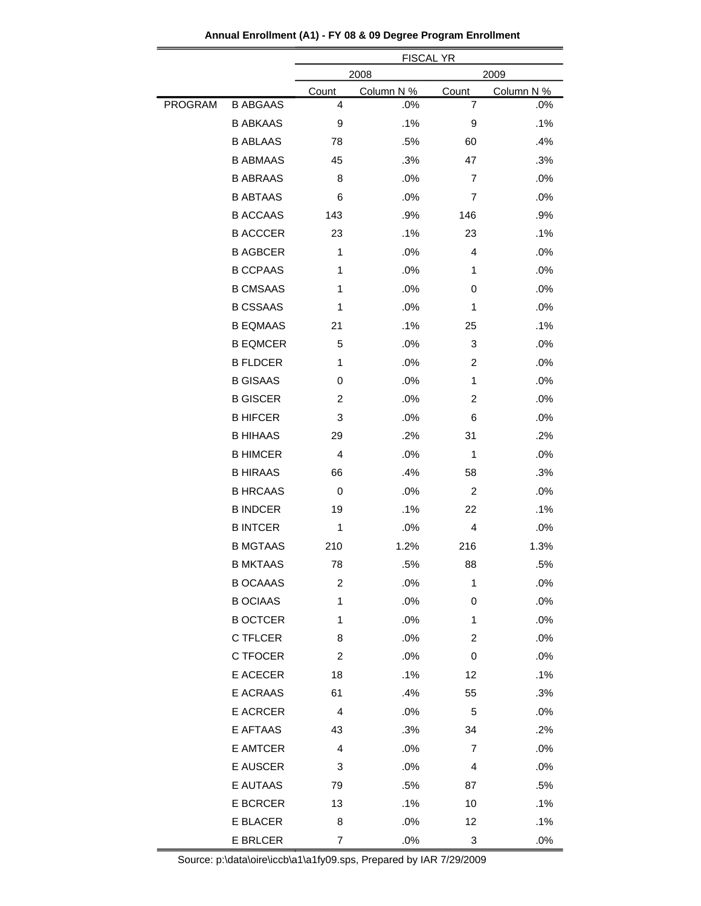|         |                 | <b>FISCAL YR</b> |            |              |            |  |
|---------|-----------------|------------------|------------|--------------|------------|--|
|         |                 | 2008             |            |              | 2009       |  |
|         |                 | <u>Count</u>     | Column N % | <b>Count</b> | Column N % |  |
| PROGRAM | <b>B ABGAAS</b> | 4                | .0%        | 7            | .0%        |  |
|         | <b>B ABKAAS</b> | 9                | .1%        | 9            | .1%        |  |
|         | <b>B ABLAAS</b> | 78               | .5%        | 60           | .4%        |  |
|         | <b>B ABMAAS</b> | 45               | .3%        | 47           | .3%        |  |
|         | <b>B ABRAAS</b> | 8                | .0%        | 7            | .0%        |  |
|         | <b>B ABTAAS</b> | 6                | .0%        | 7            | .0%        |  |
|         | <b>B ACCAAS</b> | 143              | .9%        | 146          | .9%        |  |
|         | <b>B ACCCER</b> | 23               | .1%        | 23           | .1%        |  |
|         | <b>B AGBCER</b> | 1                | .0%        | 4            | .0%        |  |
|         | <b>B CCPAAS</b> | 1                | .0%        | 1            | .0%        |  |
|         | <b>B CMSAAS</b> | 1                | .0%        | 0            | .0%        |  |
|         | <b>B CSSAAS</b> | 1                | .0%        | 1            | .0%        |  |
|         | <b>B EQMAAS</b> | 21               | .1%        | 25           | .1%        |  |
|         | <b>B EQMCER</b> | 5                | .0%        | 3            | .0%        |  |
|         | <b>B FLDCER</b> | 1                | .0%        | 2            | .0%        |  |
|         | <b>B GISAAS</b> | 0                | .0%        | 1            | .0%        |  |
|         | <b>B GISCER</b> | 2                | .0%        | 2            | .0%        |  |
|         | <b>B HIFCER</b> | 3                | .0%        | 6            | .0%        |  |
|         | <b>B HIHAAS</b> | 29               | .2%        | 31           | .2%        |  |
|         | <b>B HIMCER</b> | 4                | .0%        | 1            | .0%        |  |
|         | <b>B HIRAAS</b> | 66               | .4%        | 58           | .3%        |  |
|         | <b>B HRCAAS</b> | 0                | .0%        | 2            | .0%        |  |
|         | <b>B INDCER</b> | 19               | .1%        | 22           | .1%        |  |
|         | <b>B INTCER</b> | 1                | .0%        | 4            | .0%        |  |
|         | <b>B MGTAAS</b> | 210              | 1.2%       | 216          | 1.3%       |  |
|         | <b>B MKTAAS</b> | 78               | .5%        | 88           | .5%        |  |
|         | <b>B OCAAAS</b> | $\overline{c}$   | .0%        | 1            | .0%        |  |
|         | <b>B OCIAAS</b> | 1                | .0%        | 0            | .0%        |  |
|         | <b>B OCTCER</b> | 1                | .0%        | 1            | .0%        |  |
|         | C TFLCER        | 8                | .0%        | 2            | .0%        |  |
|         | C TFOCER        | 2                | .0%        | 0            | .0%        |  |
|         | E ACECER        | 18               | .1%        | 12           | .1%        |  |
|         | E ACRAAS        | 61               | .4%        | 55           | .3%        |  |
|         | E ACRCER        | 4                | .0%        | 5            | .0%        |  |
|         | E AFTAAS        | 43               | .3%        | 34           | .2%        |  |
|         | E AMTCER        | 4                | .0%        | 7            | .0%        |  |
|         | E AUSCER        | 3                | .0%        | 4            | .0%        |  |
|         | E AUTAAS        | 79               | .5%        | 87           | .5%        |  |
|         | E BCRCER        | 13               | .1%        | 10           | .1%        |  |
|         | E BLACER        | 8                | .0%        | 12           | .1%        |  |
|         | <b>E BRLCER</b> | 7                | .0%        | 3            | .0%        |  |

**Annual Enrollment (A1) - FY 08 & 09 Degree Program Enrollment**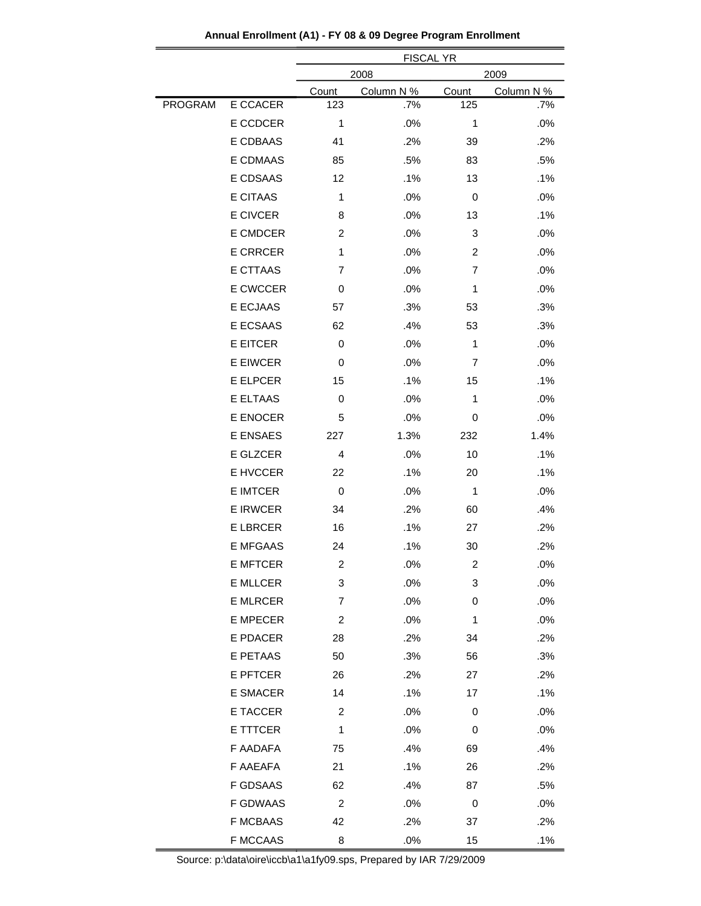|                |                 | <b>FISCAL YR</b> |            |                |            |  |
|----------------|-----------------|------------------|------------|----------------|------------|--|
|                |                 | 2008             |            |                | 2009       |  |
|                |                 | Count            | Column N % | Count          | Column N % |  |
| <b>PROGRAM</b> | E CCACER        | 123              | .7%        | 125            | .7%        |  |
|                | E CCDCER        | 1                | .0%        | 1              | .0%        |  |
|                | E CDBAAS        | 41               | .2%        | 39             | .2%        |  |
|                | E CDMAAS        | 85               | .5%        | 83             | .5%        |  |
|                | E CDSAAS        | 12               | .1%        | 13             | .1%        |  |
|                | <b>E CITAAS</b> | 1                | .0%        | 0              | .0%        |  |
|                | <b>E CIVCER</b> | 8                | .0%        | 13             | .1%        |  |
|                | E CMDCER        | 2                | .0%        | 3              | .0%        |  |
|                | <b>E CRRCER</b> | 1                | .0%        | $\overline{c}$ | .0%        |  |
|                | E CTTAAS        | 7                | .0%        | $\overline{7}$ | .0%        |  |
|                | E CWCCER        | 0                | .0%        | 1              | .0%        |  |
|                | E ECJAAS        | 57               | .3%        | 53             | .3%        |  |
|                | E ECSAAS        | 62               | .4%        | 53             | .3%        |  |
|                | <b>E EITCER</b> | 0                | .0%        | 1              | .0%        |  |
|                | <b>E EIWCER</b> | 0                | .0%        | 7              | .0%        |  |
|                | <b>E ELPCER</b> | 15               | .1%        | 15             | .1%        |  |
|                | E ELTAAS        | 0                | .0%        | 1              | .0%        |  |
|                | <b>E ENOCER</b> | 5                | .0%        | 0              | .0%        |  |
|                | E ENSAES        | 227              | 1.3%       | 232            | 1.4%       |  |
|                | E GLZCER        | 4                | .0%        | 10             | .1%        |  |
|                | E HVCCER        | 22               | .1%        | 20             | .1%        |  |
|                | <b>E IMTCER</b> | 0                | .0%        | 1              | .0%        |  |
|                | <b>E IRWCER</b> | 34               | .2%        | 60             | .4%        |  |
|                | <b>E LBRCER</b> | 16               | .1%        | 27             | .2%        |  |
|                | <b>E MFGAAS</b> | 24               | .1%        | 30             | $.2\%$     |  |
|                | <b>E MFTCER</b> | 2                | .0%        | 2              | .0%        |  |
|                | <b>E MLLCER</b> | 3                | .0%        | 3              | $.0\%$     |  |
|                | <b>E MLRCER</b> | $\overline{7}$   | .0%        | 0              | .0%        |  |
|                | <b>E MPECER</b> | 2                | .0%        | 1              | .0%        |  |
|                | E PDACER        | 28               | .2%        | 34             | .2%        |  |
|                | E PETAAS        | 50               | .3%        | 56             | .3%        |  |
|                | <b>E PFTCER</b> | 26               | .2%        | 27             | .2%        |  |
|                | E SMACER        | 14               | .1%        | 17             | .1%        |  |
|                | E TACCER        | 2                | .0%        | 0              | .0%        |  |
|                | E TTTCER        | $\mathbf{1}$     | .0%        | 0              | .0%        |  |
|                | F AADAFA        | 75               | .4%        | 69             | .4%        |  |
|                | F AAEAFA        | 21               | .1%        | 26             | .2%        |  |
|                | F GDSAAS        | 62               | .4%        | 87             | .5%        |  |
|                | F GDWAAS        | $\overline{c}$   | .0%        | 0              | .0%        |  |
|                | <b>F MCBAAS</b> | 42               | .2%        | 37             | .2%        |  |
|                | <b>F MCCAAS</b> | 8                | .0%        | 15             | .1%        |  |

**Annual Enrollment (A1) - FY 08 & 09 Degree Program Enrollment**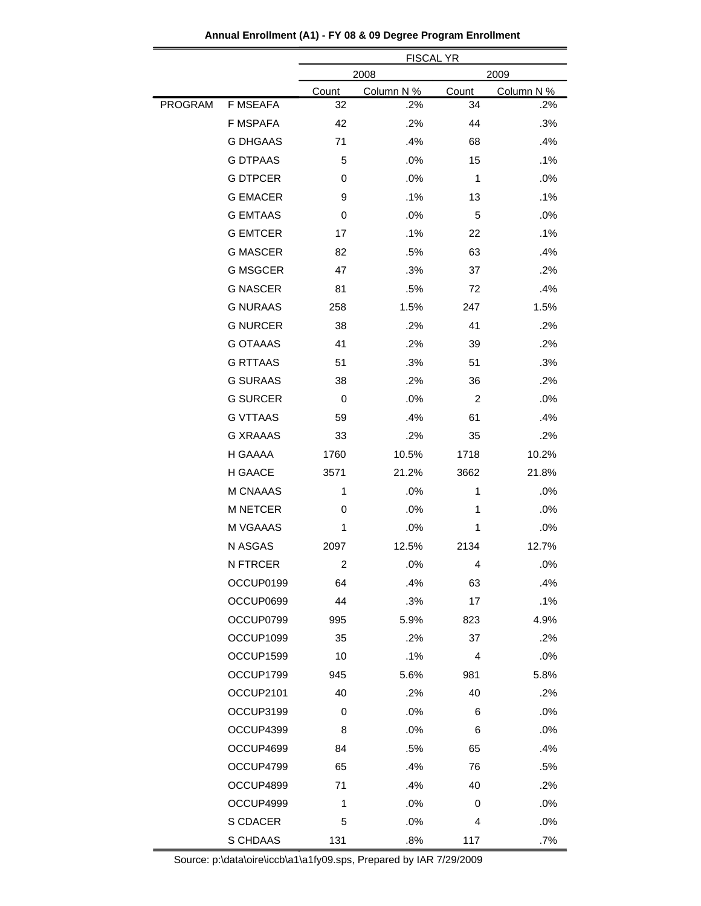|         |                 | <b>FISCAL YR</b> |            |       |            |  |  |
|---------|-----------------|------------------|------------|-------|------------|--|--|
|         |                 | 2008             |            |       | 2009       |  |  |
|         |                 | <b>Count</b>     | Column N % | Count | Column N % |  |  |
| PROGRAM | <b>F MSEAFA</b> | 32               | .2%        | 34    | .2%        |  |  |
|         | <b>F MSPAFA</b> | 42               | .2%        | 44    | .3%        |  |  |
|         | <b>G DHGAAS</b> | 71               | .4%        | 68    | .4%        |  |  |
|         | <b>G DTPAAS</b> | 5                | .0%        | 15    | .1%        |  |  |
|         | <b>G DTPCER</b> | 0                | .0%        | 1     | .0%        |  |  |
|         | <b>G EMACER</b> | 9                | .1%        | 13    | .1%        |  |  |
|         | <b>G EMTAAS</b> | 0                | .0%        | 5     | .0%        |  |  |
|         | <b>G EMTCER</b> | 17               | .1%        | 22    | .1%        |  |  |
|         | <b>G MASCER</b> | 82               | .5%        | 63    | .4%        |  |  |
|         | <b>G MSGCER</b> | 47               | .3%        | 37    | .2%        |  |  |
|         | <b>G NASCER</b> | 81               | .5%        | 72    | .4%        |  |  |
|         | <b>G NURAAS</b> | 258              | 1.5%       | 247   | 1.5%       |  |  |
|         | <b>G NURCER</b> | 38               | .2%        | 41    | .2%        |  |  |
|         | <b>G OTAAAS</b> | 41               | .2%        | 39    | .2%        |  |  |
|         | <b>G RTTAAS</b> | 51               | .3%        | 51    | .3%        |  |  |
|         | <b>G SURAAS</b> | 38               | .2%        | 36    | .2%        |  |  |
|         | <b>G SURCER</b> | 0                | .0%        | 2     | .0%        |  |  |
|         | <b>G VTTAAS</b> | 59               | .4%        | 61    | .4%        |  |  |
|         | <b>G XRAAAS</b> | 33               | .2%        | 35    | .2%        |  |  |
|         | H GAAAA         | 1760             | 10.5%      | 1718  | 10.2%      |  |  |
|         | H GAACE         | 3571             | 21.2%      | 3662  | 21.8%      |  |  |
|         | M CNAAAS        | 1                | .0%        | 1     | .0%        |  |  |
|         | <b>M NETCER</b> | 0                | .0%        | 1     | .0%        |  |  |
|         | M VGAAAS        | 1                | .0%        | 1     | .0%        |  |  |
|         | N ASGAS         | 2097             | 12.5%      | 2134  | 12.7%      |  |  |
|         | <b>N FTRCER</b> | $\overline{c}$   | .0%        | Δ     | .0%        |  |  |
|         | OCCUP0199       | 64               | .4%        | 63    | .4%        |  |  |
|         | OCCUP0699       | 44               | .3%        | 17    | .1%        |  |  |
|         | OCCUP0799       | 995              | 5.9%       | 823   | 4.9%       |  |  |
|         | OCCUP1099       | 35               | .2%        | 37    | .2%        |  |  |
|         | OCCUP1599       | 10               | .1%        | 4     | .0%        |  |  |
|         | OCCUP1799       | 945              | 5.6%       | 981   | 5.8%       |  |  |
|         | OCCUP2101       | 40               | .2%        | 40    | .2%        |  |  |
|         | OCCUP3199       | 0                | .0%        | 6     | .0%        |  |  |
|         | OCCUP4399       | 8                | .0%        | 6     | .0%        |  |  |
|         | OCCUP4699       | 84               | .5%        | 65    | .4%        |  |  |
|         | OCCUP4799       | 65               | .4%        | 76    | .5%        |  |  |
|         | OCCUP4899       | 71               | .4%        | 40    | .2%        |  |  |
|         | OCCUP4999       | 1                | .0%        | 0     | .0%        |  |  |
|         |                 |                  |            |       |            |  |  |
|         | S CDACER        | 5                | .0%        | 4     | .0%        |  |  |
|         | S CHDAAS        | 131              | .8%        | 117   | .7%        |  |  |

**Annual Enrollment (A1) - FY 08 & 09 Degree Program Enrollment**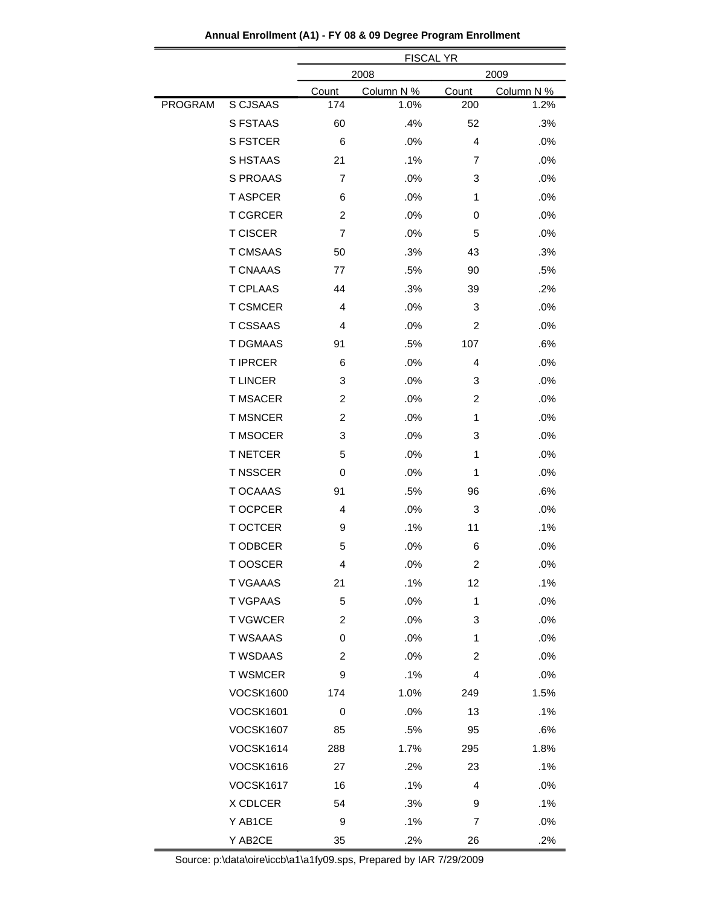|         |                  | <b>FISCAL YR</b> |            |                |            |  |
|---------|------------------|------------------|------------|----------------|------------|--|
|         |                  | 2008             | 2009       |                |            |  |
|         |                  | Count            | Column N % | Count          | Column N % |  |
| PROGRAM | S CJSAAS         | 174              | 1.0%       | 200            | 1.2%       |  |
|         | <b>S FSTAAS</b>  | 60               | .4%        | 52             | .3%        |  |
|         | <b>S FSTCER</b>  | 6                | .0%        | $\overline{4}$ | .0%        |  |
|         | S HSTAAS         | 21               | .1%        | 7              | .0%        |  |
|         | S PROAAS         | 7                | .0%        | 3              | .0%        |  |
|         | <b>T ASPCER</b>  | 6                | .0%        | 1              | .0%        |  |
|         | <b>T CGRCER</b>  | 2                | .0%        | 0              | .0%        |  |
|         | <b>T CISCER</b>  | 7                | .0%        | 5              | .0%        |  |
|         | <b>T CMSAAS</b>  | 50               | .3%        | 43             | .3%        |  |
|         | <b>T CNAAAS</b>  | 77               | .5%        | 90             | .5%        |  |
|         | <b>T CPLAAS</b>  | 44               | .3%        | 39             | .2%        |  |
|         | <b>T CSMCER</b>  | 4                | .0%        | 3              | .0%        |  |
|         | <b>T CSSAAS</b>  | 4                | .0%        | 2              | .0%        |  |
|         | <b>T DGMAAS</b>  | 91               | .5%        | 107            | .6%        |  |
|         | <b>T IPRCER</b>  | 6                | .0%        | 4              | .0%        |  |
|         | <b>TLINCER</b>   | 3                | .0%        | 3              | .0%        |  |
|         | <b>T MSACER</b>  | 2                | .0%        | 2              | .0%        |  |
|         | <b>T MSNCER</b>  | 2                | .0%        | 1              | .0%        |  |
|         | <b>T MSOCER</b>  | 3                | .0%        | 3              | .0%        |  |
|         | <b>T NETCER</b>  | 5                | .0%        | 1              | .0%        |  |
|         | <b>T NSSCER</b>  | 0                | .0%        | 1              | .0%        |  |
|         | <b>T OCAAAS</b>  | 91               | .5%        | 96             | .6%        |  |
|         | T OCPCER         | 4                | .0%        | 3              | .0%        |  |
|         | <b>T OCTCER</b>  | 9                | .1%        | 11             | .1%        |  |
|         | T ODBCER         | 5                | .0%        | 6              | .0%        |  |
|         | T OOSCER         | 4                | .0%        | 2              | .0%        |  |
|         | <b>T VGAAAS</b>  | 21               | .1%        | 12             | .1%        |  |
|         | <b>TVGPAAS</b>   | 5                | .0%        | 1              | .0%        |  |
|         | <b>TVGWCER</b>   | $\overline{c}$   | .0%        | 3              | .0%        |  |
|         | <b>T WSAAAS</b>  | 0                | .0%        | 1              | .0%        |  |
|         | <b>T WSDAAS</b>  | $\overline{c}$   | .0%        | 2              | .0%        |  |
|         | <b>T WSMCER</b>  | 9                | .1%        | 4              | .0%        |  |
|         | <b>VOCSK1600</b> | 174              | 1.0%       | 249            | 1.5%       |  |
|         | <b>VOCSK1601</b> | 0                | .0%        | 13             | .1%        |  |
|         | <b>VOCSK1607</b> | 85               | .5%        | 95             | .6%        |  |
|         | <b>VOCSK1614</b> | 288              | 1.7%       | 295            | 1.8%       |  |
|         | <b>VOCSK1616</b> | 27               | $.2\%$     | 23             | .1%        |  |
|         | <b>VOCSK1617</b> | 16               | .1%        | $\overline{4}$ | .0%        |  |
|         | X CDLCER         | 54               | .3%        | 9              | .1%        |  |
|         | Y AB1CE          | 9                | .1%        | 7              | .0%        |  |
|         | Y AB2CE          | 35               | .2%        | 26             | .2%        |  |

**Annual Enrollment (A1) - FY 08 & 09 Degree Program Enrollment**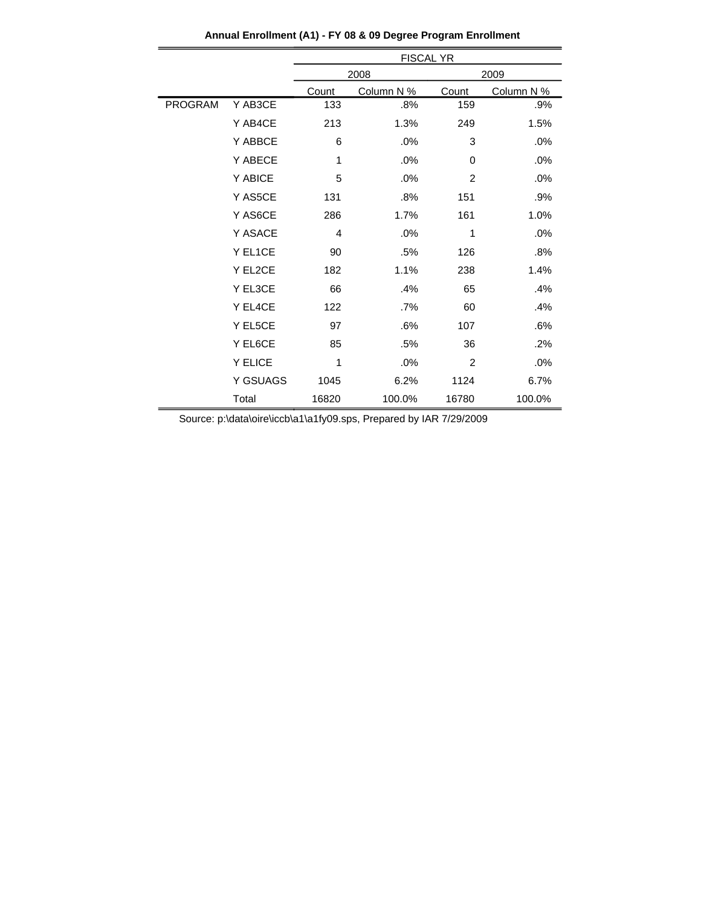|         |                 | <b>FISCAL YR</b> |            |                |            |  |
|---------|-----------------|------------------|------------|----------------|------------|--|
|         |                 |                  | 2008       |                | 2009       |  |
|         |                 | Count            | Column N % | Count          | Column N % |  |
| PROGRAM | Y AB3CE         | 133              | .8%        | 159            | .9%        |  |
|         | Y AB4CE         | 213              | 1.3%       | 249            | 1.5%       |  |
|         | Y ABBCE         | 6                | .0%        | 3              | .0%        |  |
|         | Y ABECE         | 1                | .0%        | 0              | .0%        |  |
|         | Y ABICE         | 5                | .0%        | 2              | .0%        |  |
|         | Y AS5CE         | 131              | .8%        | 151            | .9%        |  |
|         | Y AS6CE         | 286              | 1.7%       | 161            | 1.0%       |  |
|         | Y ASACE         | 4                | .0%        | 1              | .0%        |  |
|         | Y EL1CE         | 90               | .5%        | 126            | .8%        |  |
|         | Y EL2CE         | 182              | 1.1%       | 238            | 1.4%       |  |
|         | Y EL3CE         | 66               | .4%        | 65             | .4%        |  |
|         | Y EL4CE         | 122              | .7%        | 60             | .4%        |  |
|         | Y EL5CE         | 97               | .6%        | 107            | .6%        |  |
|         | Y EL6CE         | 85               | .5%        | 36             | .2%        |  |
|         | Y ELICE         | 1                | .0%        | $\overline{2}$ | .0%        |  |
|         | <b>Y GSUAGS</b> | 1045             | 6.2%       | 1124           | 6.7%       |  |
|         | Total           | 16820            | 100.0%     | 16780          | 100.0%     |  |

**Annual Enrollment (A1) - FY 08 & 09 Degree Program Enrollment**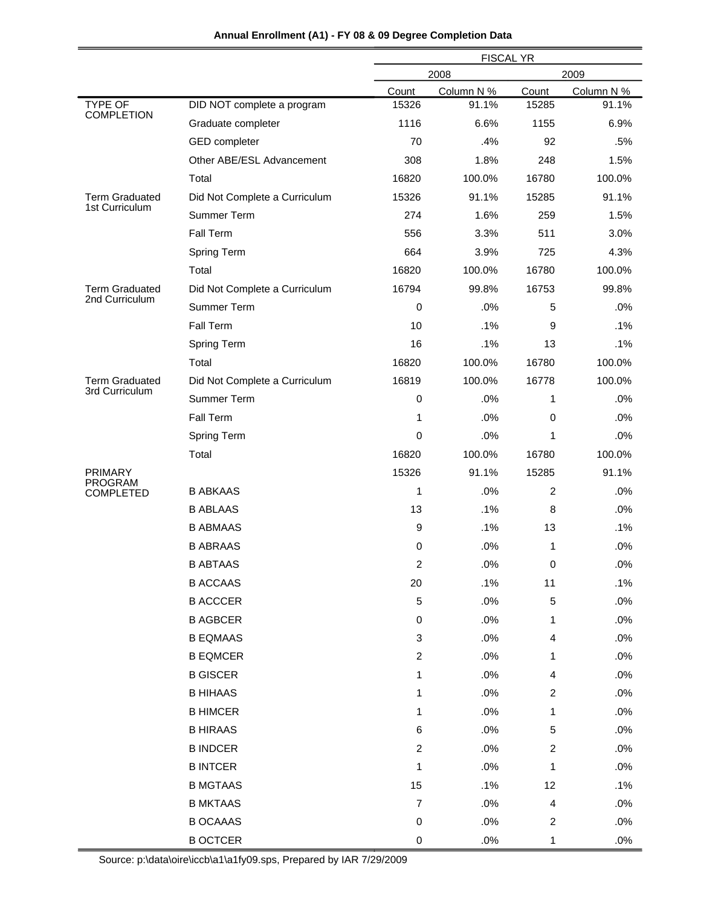|                                    |                               | <b>FISCAL YR</b> |            |                |            |
|------------------------------------|-------------------------------|------------------|------------|----------------|------------|
|                                    |                               |                  | 2008       |                | 2009       |
|                                    |                               | Count            | Column N % | Count          | Column N % |
| TYPE OF<br><b>COMPLETION</b>       | DID NOT complete a program    | 15326            | 91.1%      | 15285          | 91.1%      |
|                                    | Graduate completer            | 1116             | 6.6%       | 1155           | 6.9%       |
|                                    | GED completer                 | 70               | .4%        | 92             | .5%        |
|                                    | Other ABE/ESL Advancement     | 308              | 1.8%       | 248            | 1.5%       |
|                                    | Total                         | 16820            | 100.0%     | 16780          | 100.0%     |
| <b>Term Graduated</b>              | Did Not Complete a Curriculum | 15326            | 91.1%      | 15285          | 91.1%      |
| 1st Curriculum                     | Summer Term                   | 274              | 1.6%       | 259            | 1.5%       |
|                                    | Fall Term                     | 556              | 3.3%       | 511            | 3.0%       |
|                                    | Spring Term                   | 664              | 3.9%       | 725            | 4.3%       |
|                                    | Total                         | 16820            | 100.0%     | 16780          | 100.0%     |
| <b>Term Graduated</b>              | Did Not Complete a Curriculum | 16794            | 99.8%      | 16753          | 99.8%      |
| 2nd Curriculum                     | Summer Term                   | $\pmb{0}$        | .0%        | 5              | .0%        |
|                                    | Fall Term                     | 10               | .1%        | 9              | .1%        |
|                                    | Spring Term                   | 16               | .1%        | 13             | .1%        |
|                                    | Total                         | 16820            | 100.0%     | 16780          | 100.0%     |
| <b>Term Graduated</b>              | Did Not Complete a Curriculum | 16819            | 100.0%     | 16778          | 100.0%     |
| 3rd Curriculum                     | Summer Term                   | 0                | .0%        | 1              | .0%        |
|                                    | Fall Term                     | 1                | .0%        | $\mathbf 0$    | .0%        |
|                                    | Spring Term                   | 0                | .0%        | 1              | .0%        |
|                                    | Total                         | 16820            | 100.0%     | 16780          | 100.0%     |
| <b>PRIMARY</b>                     |                               | 15326            | 91.1%      | 15285          | 91.1%      |
| <b>PROGRAM</b><br><b>COMPLETED</b> | <b>B ABKAAS</b>               | 1                | .0%        | $\overline{c}$ | .0%        |
|                                    | <b>B ABLAAS</b>               | 13               | .1%        | 8              | .0%        |
|                                    | <b>B ABMAAS</b>               | 9                | .1%        | 13             | .1%        |
|                                    | <b>B ABRAAS</b>               | 0                | .0%        | 1              | .0%        |
|                                    | <b>B ABTAAS</b>               | 2                | .0%        | 0              | .0%        |
|                                    | <b>B ACCAAS</b>               | 20               | .1%        | 11             | .1%        |
|                                    | <b>B ACCCER</b>               | $\mathbf 5$      | .0%        | 5              | .0%        |
|                                    | <b>B AGBCER</b>               | 0                | .0%        | 1              | .0%        |
|                                    | <b>B EQMAAS</b>               | 3                | .0%        | 4              | .0%        |
|                                    | <b>B EQMCER</b>               | $\overline{c}$   | .0%        | 1              | .0%        |
|                                    | <b>B GISCER</b>               | 1                | .0%        | 4              | .0%        |
|                                    | <b>B HIHAAS</b>               | 1                | .0%        | 2              | .0%        |
|                                    | <b>B HIMCER</b>               | 1                | .0%        | 1              | .0%        |
|                                    | <b>B HIRAAS</b>               | 6                | .0%        | 5              | .0%        |
|                                    | <b>B INDCER</b>               | $\overline{c}$   | .0%        | $\overline{c}$ | .0%        |
|                                    | <b>B INTCER</b>               | 1                | .0%        | 1              | .0%        |
|                                    | <b>B MGTAAS</b>               | 15               | .1%        | 12             | .1%        |
|                                    | <b>B MKTAAS</b>               | $\overline{7}$   | .0%        | 4              | .0%        |
|                                    | <b>B OCAAAS</b>               | 0                | .0%        | $\overline{c}$ | .0%        |
|                                    | <b>B OCTCER</b>               | 0                | $.0\%$     | 1              | .0%        |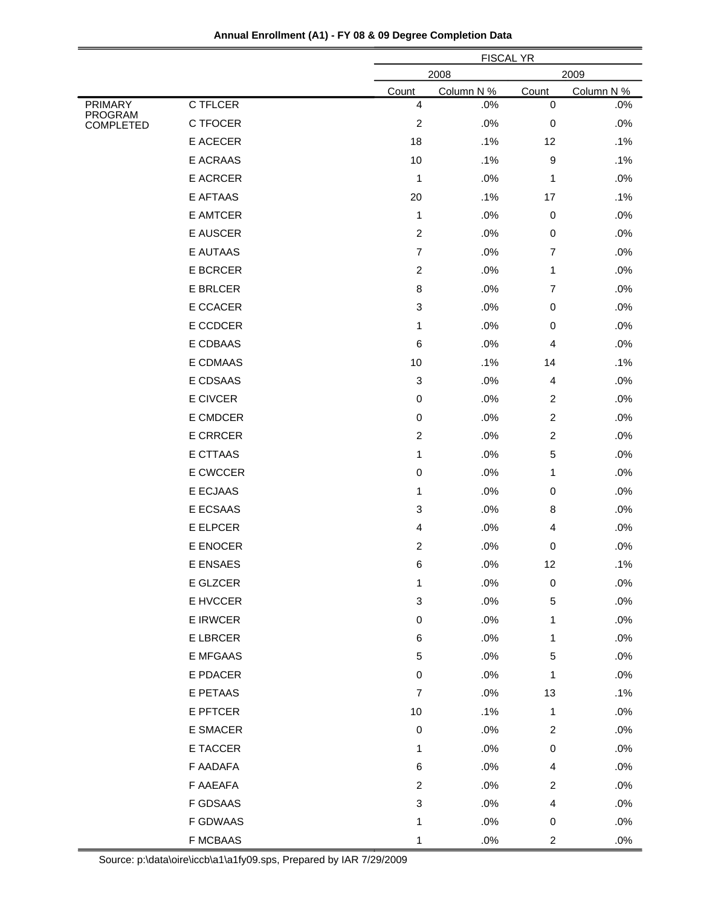| Annual Enrollment (A1) - FY 08 & 09 Degree Completion Data |  |  |  |  |  |
|------------------------------------------------------------|--|--|--|--|--|
|------------------------------------------------------------|--|--|--|--|--|

|                           |                 |                           | <b>FISCAL YR</b> |                |            |
|---------------------------|-----------------|---------------------------|------------------|----------------|------------|
|                           |                 |                           | 2008<br>2009     |                |            |
|                           |                 | Count                     | Column N %       | Count          | Column N % |
| <b>PRIMARY</b><br>PROGRAM | C TFLCER        | $\overline{\mathbf{4}}$   | .0%              | $\pmb{0}$      | .0%        |
| <b>COMPLETED</b>          | C TFOCER        | $\boldsymbol{2}$          | .0%              | 0              | .0%        |
|                           | E ACECER        | 18                        | .1%              | 12             | .1%        |
|                           | E ACRAAS        | 10                        | .1%              | 9              | .1%        |
|                           | E ACRCER        | 1                         | .0%              | 1              | .0%        |
|                           | E AFTAAS        | 20                        | .1%              | 17             | .1%        |
|                           | E AMTCER        | 1                         | .0%              | $\mathbf 0$    | .0%        |
|                           | E AUSCER        | $\overline{c}$            | .0%              | 0              | .0%        |
|                           | <b>E AUTAAS</b> | $\overline{7}$            | .0%              | $\overline{7}$ | .0%        |
|                           | <b>E BCRCER</b> | $\overline{c}$            | .0%              | 1              | .0%        |
|                           | E BRLCER        | 8                         | .0%              | 7              | .0%        |
|                           | E CCACER        | $\ensuremath{\mathsf{3}}$ | .0%              | 0              | .0%        |
|                           | E CCDCER        | 1                         | .0%              | 0              | .0%        |
|                           | E CDBAAS        | 6                         | .0%              | 4              | .0%        |
|                           | E CDMAAS        | 10                        | .1%              | 14             | .1%        |
|                           | E CDSAAS        | $\ensuremath{\mathsf{3}}$ | .0%              | 4              | .0%        |
|                           | E CIVCER        | $\pmb{0}$                 | .0%              | $\overline{2}$ | .0%        |
|                           | E CMDCER        | $\pmb{0}$                 | .0%              | $\overline{2}$ | .0%        |
|                           | <b>E CRRCER</b> | $\overline{c}$            | .0%              | $\overline{2}$ | .0%        |
|                           | <b>E CTTAAS</b> | 1                         | .0%              | 5              | .0%        |
|                           | E CWCCER        | $\pmb{0}$                 | .0%              | 1              | .0%        |
|                           | E ECJAAS        | 1                         | .0%              | 0              | .0%        |
|                           | E ECSAAS        | 3                         | .0%              | 8              | .0%        |
|                           | E ELPCER        | 4                         | .0%              | 4              | .0%        |
|                           | E ENOCER        | $\overline{c}$            | .0%              | 0              | .0%        |
|                           | E ENSAES        | 6                         | .0%              | 12             | .1%        |
|                           | E GLZCER        | 1                         | .0%              | 0              | .0%        |
|                           | E HVCCER        | $\ensuremath{\mathsf{3}}$ | .0%              | 5              | .0%        |
|                           | E IRWCER        | $\pmb{0}$                 | .0%              | 1              | .0%        |
|                           | E LBRCER        | 6                         | .0%              | 1              | .0%        |
|                           | <b>E MFGAAS</b> | 5                         | .0%              | 5              | .0%        |
|                           | E PDACER        | $\pmb{0}$                 | .0%              | 1              | .0%        |
|                           | E PETAAS        | $\overline{7}$            | .0%              | 13             | .1%        |
|                           | E PFTCER        | $10$                      | .1%              | 1              | .0%        |
|                           | E SMACER        | $\pmb{0}$                 | .0%              | $\overline{c}$ | .0%        |
|                           | E TACCER        | 1                         | .0%              | 0              | .0%        |
|                           | F AADAFA        | 6                         | .0%              | 4              | .0%        |
|                           | F AAEAFA        | $\overline{c}$            | .0%              | $\overline{a}$ | .0%        |
|                           | F GDSAAS        | 3                         | .0%              | 4              | .0%        |
|                           | F GDWAAS        | 1                         | .0%              | 0              | .0%        |
|                           | <b>F MCBAAS</b> | 1                         | .0%              | $\overline{c}$ | .0%        |
|                           |                 |                           |                  |                |            |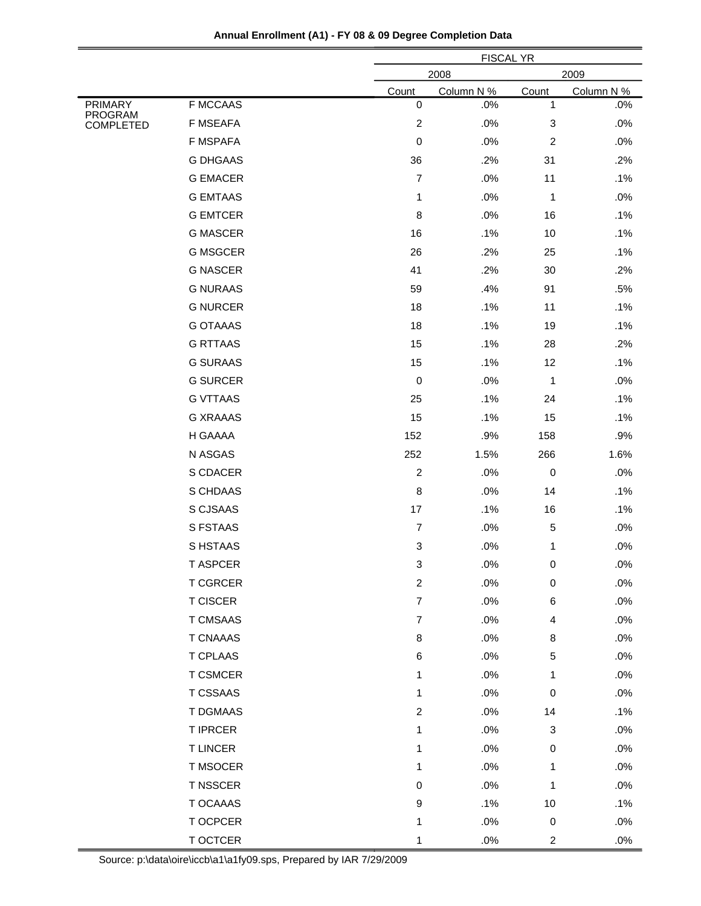|                                       | <b>FISCAL YR</b><br>2008<br>2009 |            |                |            |
|---------------------------------------|----------------------------------|------------|----------------|------------|
|                                       | Count                            | Column N % | Count          | Column N % |
| <b>F MCCAAS</b><br>PRIMARY<br>PROGRAM | $\pmb{0}$                        | .0%        | 1              | .0%        |
| F MSEAFA<br><b>COMPLETED</b>          | $\boldsymbol{2}$                 | .0%        | 3              | .0%        |
| <b>F MSPAFA</b>                       | 0                                | .0%        | $\overline{c}$ | .0%        |
| <b>G DHGAAS</b>                       | 36                               | .2%        | 31             | .2%        |
| <b>G EMACER</b>                       | $\overline{\mathcal{I}}$         | .0%        | 11             | .1%        |
| <b>G EMTAAS</b>                       | 1                                | .0%        | 1              | .0%        |
| <b>G EMTCER</b>                       | 8                                | .0%        | 16             | .1%        |
| <b>G MASCER</b>                       | 16                               | .1%        | 10             | .1%        |
| <b>G MSGCER</b>                       | 26                               | .2%        | 25             | .1%        |
| <b>G NASCER</b>                       | 41                               | .2%        | 30             | .2%        |
| <b>G NURAAS</b>                       | 59                               | .4%        | 91             | .5%        |
| <b>G NURCER</b>                       | 18                               | .1%        | 11             | .1%        |
| <b>G OTAAAS</b>                       | 18                               | .1%        | 19             | .1%        |
| <b>G RTTAAS</b>                       | 15                               | .1%        | 28             | .2%        |
| <b>G SURAAS</b>                       | 15                               | .1%        | 12             | .1%        |
| <b>G SURCER</b>                       | 0                                | .0%        | 1              | .0%        |
| <b>G VTTAAS</b>                       | 25                               | .1%        | 24             | .1%        |
| <b>G XRAAAS</b>                       | 15                               | .1%        | 15             | .1%        |
| H GAAAA                               | 152                              | .9%        | 158            | .9%        |
| N ASGAS                               | 252                              | 1.5%       | 266            | 1.6%       |
| S CDACER                              | $\overline{c}$                   | .0%        | 0              | .0%        |
| S CHDAAS                              | 8                                | .0%        | 14             | .1%        |
| S CJSAAS                              | 17                               | .1%        | 16             | .1%        |
| S FSTAAS                              | $\overline{7}$                   | .0%        | 5              | .0%        |
| S HSTAAS                              | $\ensuremath{\mathsf{3}}$        | .0%        | 1              | .0%        |
| <b>T ASPCER</b>                       | 3                                | .0%        | 0              | .0%        |
| <b>T CGRCER</b>                       | $\overline{c}$                   | .0%        | 0              | .0%        |
| <b>T CISCER</b>                       | $\overline{7}$                   | .0%        | 6              | .0%        |
| T CMSAAS                              | $\overline{7}$                   | .0%        | 4              | .0%        |
| <b>T CNAAAS</b>                       | 8                                | .0%        | 8              | .0%        |
| <b>T CPLAAS</b>                       | 6                                | .0%        | 5              | .0%        |
| T CSMCER                              | 1                                | .0%        | 1              | .0%        |
| T CSSAAS                              | 1                                | .0%        | $\,0\,$        | .0%        |
| T DGMAAS                              | $\overline{c}$                   | .0%        | 14             | .1%        |
| <b>T IPRCER</b>                       | 1                                | .0%        | 3              | .0%        |
| <b>T LINCER</b>                       | 1                                | .0%        | 0              | .0%        |
| T MSOCER                              | 1                                | .0%        | 1              | .0%        |
| T NSSCER                              | 0                                | .0%        | 1              | .0%        |
| T OCAAAS                              | 9                                | .1%        | 10             | .1%        |
| T OCPCER                              | 1                                | .0%        | $\pmb{0}$      | .0%        |
| T OCTCER                              | 1                                | $.0\%$     | $\overline{a}$ | $.0\%$     |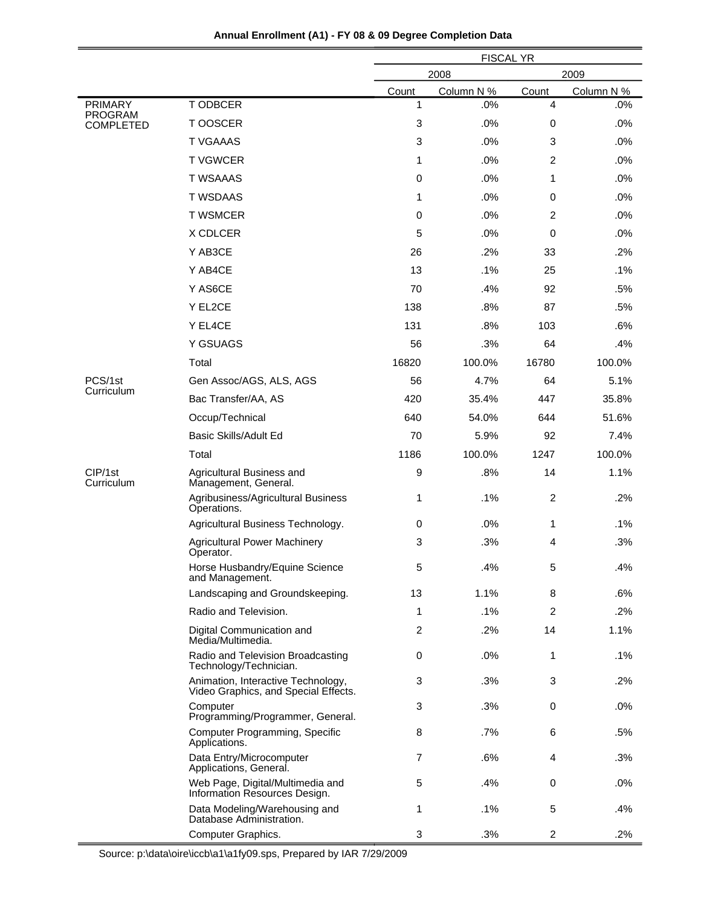|                                    |                                                                            | <b>FISCAL YR</b> |            |                |            |
|------------------------------------|----------------------------------------------------------------------------|------------------|------------|----------------|------------|
|                                    |                                                                            | 2008<br>2009     |            |                |            |
|                                    |                                                                            | Count            | Column N % | Count          | Column N % |
| <b>PRIMARY</b>                     | T ODBCER                                                                   | 1                | .0%        | 4              | .0%        |
| <b>PROGRAM</b><br><b>COMPLETED</b> | T OOSCER                                                                   | 3                | .0%        | 0              | .0%        |
|                                    | <b>T VGAAAS</b>                                                            | 3                | .0%        | 3              | .0%        |
|                                    | <b>TVGWCER</b>                                                             | 1                | .0%        | 2              | .0%        |
|                                    | <b>T WSAAAS</b>                                                            | 0                | .0%        | 1              | .0%        |
|                                    | <b>T WSDAAS</b>                                                            | 1                | .0%        | $\mathbf 0$    | .0%        |
|                                    | <b>T WSMCER</b>                                                            | $\mathbf 0$      | .0%        | 2              | .0%        |
|                                    | X CDLCER                                                                   | 5                | .0%        | 0              | .0%        |
|                                    | Y AB3CE                                                                    | 26               | .2%        | 33             | .2%        |
|                                    | Y AB4CE                                                                    | 13               | .1%        | 25             | .1%        |
|                                    | Y AS6CE                                                                    | 70               | .4%        | 92             | .5%        |
|                                    | Y EL2CE                                                                    | 138              | .8%        | 87             | .5%        |
|                                    | Y EL4CE                                                                    | 131              | .8%        | 103            | .6%        |
|                                    | Y GSUAGS                                                                   | 56               | .3%        | 64             | .4%        |
|                                    | Total                                                                      | 16820            | 100.0%     | 16780          | 100.0%     |
| PCS/1st                            | Gen Assoc/AGS, ALS, AGS                                                    | 56               | 4.7%       | 64             | 5.1%       |
| Curriculum                         | Bac Transfer/AA, AS                                                        | 420              | 35.4%      | 447            | 35.8%      |
|                                    | Occup/Technical                                                            | 640              | 54.0%      | 644            | 51.6%      |
|                                    | Basic Skills/Adult Ed                                                      | 70               | 5.9%       | 92             | 7.4%       |
|                                    | Total                                                                      | 1186             | 100.0%     | 1247           | 100.0%     |
| CIP/1st<br>Curriculum              | Agricultural Business and<br>Management, General.                          | 9                | .8%        | 14             | 1.1%       |
|                                    | Agribusiness/Agricultural Business<br>Operations.                          | 1                | .1%        | $\overline{2}$ | .2%        |
|                                    | Agricultural Business Technology.                                          | $\mathbf 0$      | .0%        | 1              | $.1\%$     |
|                                    | <b>Agricultural Power Machinery</b><br>Operator.                           | 3                | .3%        | 4              | .3%        |
|                                    | Horse Husbandry/Equine Science<br>and Management.                          | 5                | .4%        | 5              | .4%        |
|                                    | Landscaping and Groundskeeping.                                            | 13               | 1.1%       | 8              | .6%        |
|                                    | Radio and Television.                                                      | 1                | $.1\%$     | $\overline{2}$ | $.2\%$     |
|                                    | Digital Communication and<br>Media/Multimedia.                             | 2                | .2%        | 14             | 1.1%       |
|                                    | Radio and Television Broadcasting<br>Technology/Technician.                | 0                | .0%        | 1              | $.1\%$     |
|                                    | Animation, Interactive Technology,<br>Video Graphics, and Special Effects. | 3                | .3%        | 3              | .2%        |
|                                    | Computer<br>Programming/Programmer, General.                               | 3                | .3%        | 0              | .0%        |
|                                    | Computer Programming, Specific<br>Applications.                            | 8                | $.7\%$     | 6              | .5%        |
|                                    | Data Entry/Microcomputer<br>Applications, General.                         | 7                | .6%        | 4              | .3%        |
|                                    | Web Page, Digital/Multimedia and<br>Information Resources Design.          | 5                | .4%        | 0              | .0%        |
|                                    | Data Modeling/Warehousing and<br>Database Administration.                  | 1                | .1%        | 5              | .4%        |
|                                    | Computer Graphics.                                                         | 3                | .3%        | $\overline{2}$ | .2%        |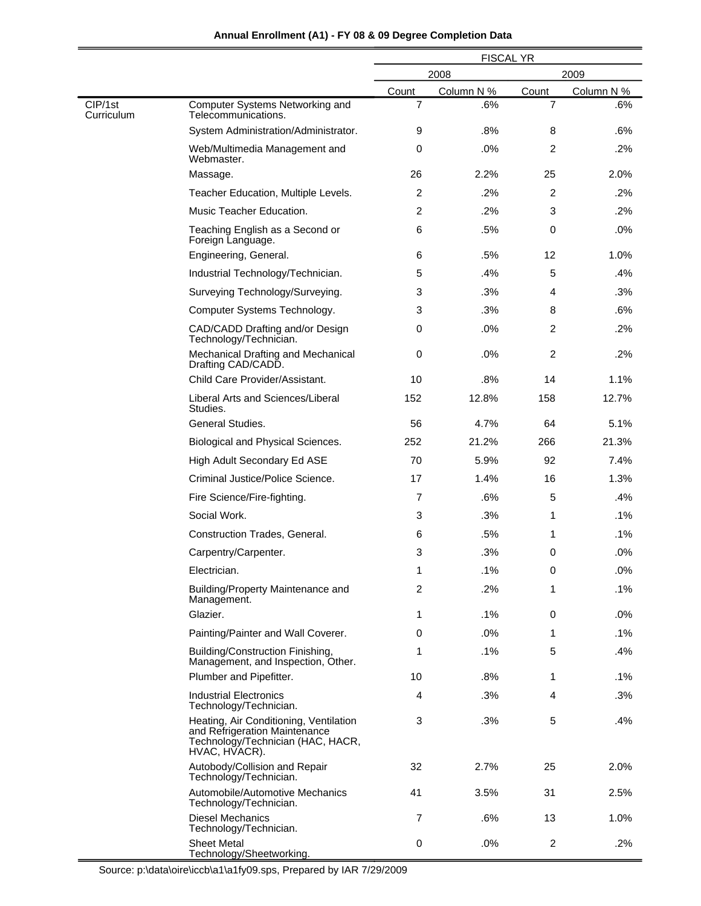|                       |                                                                                                                               | <b>FISCAL YR</b> |            |                |            |
|-----------------------|-------------------------------------------------------------------------------------------------------------------------------|------------------|------------|----------------|------------|
|                       |                                                                                                                               | 2008<br>2009     |            |                |            |
|                       |                                                                                                                               | Count            | Column N % | Count          | Column N % |
| CIP/1st<br>Curriculum | Computer Systems Networking and<br>Telecommunications.                                                                        | $\overline{7}$   | .6%        | $\overline{7}$ | .6%        |
|                       | System Administration/Administrator.                                                                                          | 9                | .8%        | 8              | .6%        |
|                       | Web/Multimedia Management and<br>Webmaster.                                                                                   | 0                | .0%        | 2              | .2%        |
|                       | Massage.                                                                                                                      | 26               | 2.2%       | 25             | 2.0%       |
|                       | Teacher Education, Multiple Levels.                                                                                           | 2                | .2%        | 2              | .2%        |
|                       | Music Teacher Education.                                                                                                      | 2                | .2%        | 3              | .2%        |
|                       | Teaching English as a Second or<br>Foreign Language.                                                                          | 6                | .5%        | 0              | .0%        |
|                       | Engineering, General.                                                                                                         | 6                | .5%        | 12             | 1.0%       |
|                       | Industrial Technology/Technician.                                                                                             | 5                | .4%        | 5              | .4%        |
|                       | Surveying Technology/Surveying.                                                                                               | 3                | .3%        | 4              | .3%        |
|                       | Computer Systems Technology.                                                                                                  | 3                | .3%        | 8              | .6%        |
|                       | CAD/CADD Drafting and/or Design<br>Technology/Technician.                                                                     | 0                | .0%        | $\overline{c}$ | .2%        |
|                       | Mechanical Drafting and Mechanical<br>Drafting CAD/CADD.                                                                      | 0                | .0%        | $\overline{c}$ | .2%        |
|                       | Child Care Provider/Assistant.                                                                                                | 10               | .8%        | 14             | 1.1%       |
|                       | Liberal Arts and Sciences/Liberal<br>Studies.                                                                                 | 152              | 12.8%      | 158            | 12.7%      |
|                       | General Studies.                                                                                                              | 56               | 4.7%       | 64             | 5.1%       |
|                       | Biological and Physical Sciences.                                                                                             | 252              | 21.2%      | 266            | 21.3%      |
|                       | High Adult Secondary Ed ASE                                                                                                   | 70               | 5.9%       | 92             | 7.4%       |
|                       | Criminal Justice/Police Science.                                                                                              | 17               | 1.4%       | 16             | 1.3%       |
|                       | Fire Science/Fire-fighting.                                                                                                   | 7                | .6%        | 5              | .4%        |
|                       | Social Work.                                                                                                                  | 3                | .3%        | 1              | $.1\%$     |
|                       | Construction Trades, General.                                                                                                 | 6                | .5%        | 1              | $.1\%$     |
|                       | Carpentry/Carpenter.                                                                                                          | 3                | .3%        | 0              | .0%        |
|                       | Electrician.                                                                                                                  | 1                | .1%        | 0              | .0%        |
|                       | Building/Property Maintenance and<br>Management.                                                                              | 2                | .2%        | 1              | .1%        |
|                       | Glazier.                                                                                                                      | 1                | $.1\%$     | 0              | .0%        |
|                       | Painting/Painter and Wall Coverer.                                                                                            | 0                | .0%        | 1              | .1%        |
|                       | Building/Construction Finishing,<br>Management, and Inspection, Other.                                                        | 1                | .1%        | 5              | .4%        |
|                       | Plumber and Pipefitter.                                                                                                       | 10               | .8%        | 1              | $.1\%$     |
|                       | <b>Industrial Electronics</b><br>Technology/Technician.                                                                       | 4                | .3%        | 4              | .3%        |
|                       | Heating, Air Conditioning, Ventilation<br>and Refrigeration Maintenance<br>Technology/Technician (HAC, HACR,<br>HVAC, HVACR). | 3                | .3%        | 5              | .4%        |
|                       | Autobody/Collision and Repair<br>Technology/Technician.                                                                       | 32               | 2.7%       | 25             | 2.0%       |
|                       | Automobile/Automotive Mechanics<br>Technology/Technician.                                                                     | 41               | 3.5%       | 31             | 2.5%       |
|                       | <b>Diesel Mechanics</b><br>Technology/Technician.                                                                             | 7                | .6%        | 13             | 1.0%       |
|                       | <b>Sheet Metal</b><br>Technology/Sheetworking.                                                                                | 0                | .0%        | $\overline{c}$ | .2%        |

-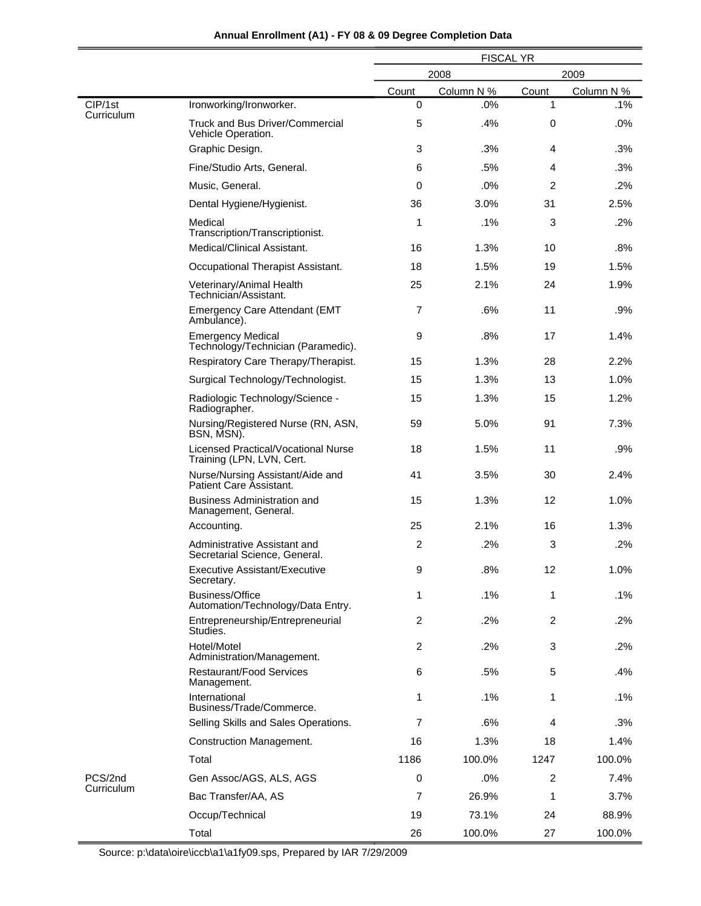|                       |                                                                  | <b>FISCAL YR</b> |            |                |            |
|-----------------------|------------------------------------------------------------------|------------------|------------|----------------|------------|
|                       |                                                                  | 2009<br>2008     |            |                |            |
|                       |                                                                  | Count            | Column N % | Count          | Column N % |
| CIP/1st<br>Curriculum | Ironworking/Ironworker.                                          | $\mathbf 0$      | .0%        | 1              | .1%        |
|                       | <b>Truck and Bus Driver/Commercial</b><br>Vehicle Operation.     | 5                | .4%        | 0              | .0%        |
|                       | Graphic Design.                                                  | 3                | .3%        | 4              | .3%        |
|                       | Fine/Studio Arts, General.                                       | 6                | .5%        | 4              | .3%        |
|                       | Music, General.                                                  | 0                | .0%        | 2              | .2%        |
|                       | Dental Hygiene/Hygienist.                                        | 36               | 3.0%       | 31             | 2.5%       |
|                       | Medical<br>Transcription/Transcriptionist.                       | 1                | .1%        | 3              | .2%        |
|                       | Medical/Clinical Assistant.                                      | 16               | 1.3%       | 10             | .8%        |
|                       | Occupational Therapist Assistant.                                | 18               | 1.5%       | 19             | 1.5%       |
|                       | Veterinary/Animal Health<br>Technician/Assistant.                | 25               | 2.1%       | 24             | 1.9%       |
|                       | <b>Emergency Care Attendant (EMT</b><br>Ambulance).              | $\overline{7}$   | .6%        | 11             | $.9\%$     |
|                       | <b>Emergency Medical</b><br>Technology/Technician (Paramedic).   | 9                | .8%        | 17             | 1.4%       |
|                       | Respiratory Care Therapy/Therapist.                              | 15               | 1.3%       | 28             | 2.2%       |
|                       | Surgical Technology/Technologist.                                | 15               | 1.3%       | 13             | 1.0%       |
|                       | Radiologic Technology/Science -<br>Radiographer.                 | 15               | 1.3%       | 15             | 1.2%       |
|                       | Nursing/Registered Nurse (RN, ASN,<br>BSN, MSN).                 | 59               | 5.0%       | 91             | 7.3%       |
|                       | Licensed Practical/Vocational Nurse<br>Training (LPN, LVN, Cert. | 18               | 1.5%       | 11             | .9%        |
|                       | Nurse/Nursing Assistant/Aide and<br>Patient Care Assistant.      | 41               | 3.5%       | 30             | 2.4%       |
|                       | <b>Business Administration and</b><br>Management, General.       | 15               | 1.3%       | 12             | 1.0%       |
|                       | Accounting.                                                      | 25               | 2.1%       | 16             | 1.3%       |
|                       | Administrative Assistant and<br>Secretarial Science, General.    | $\overline{2}$   | .2%        | 3              | .2%        |
|                       | Executive Assistant/Executive<br>Secretary.                      | 9                | .8%        | 12             | 1.0%       |
|                       | Business/Office<br>Automation/Technology/Data Entry.             | 1                | $.1\%$     | 1              | .1%        |
|                       | Entrepreneurship/Entrepreneurial<br>Studies.                     | 2                | .2%        | $\overline{2}$ | .2%        |
|                       | Hotel/Motel<br>Administration/Management.                        | $\overline{c}$   | .2%        | 3              | .2%        |
|                       | <b>Restaurant/Food Services</b><br>Management.                   | 6                | .5%        | 5              | .4%        |
|                       | International<br>Business/Trade/Commerce.                        | 1                | .1%        | 1              | $.1\%$     |
|                       | Selling Skills and Sales Operations.                             | 7                | .6%        | 4              | .3%        |
|                       | <b>Construction Management.</b>                                  | 16               | 1.3%       | 18             | 1.4%       |
|                       | Total                                                            | 1186             | 100.0%     | 1247           | 100.0%     |
| PCS/2nd               | Gen Assoc/AGS, ALS, AGS                                          | 0                | .0%        | $\overline{2}$ | 7.4%       |
| Curriculum            | Bac Transfer/AA, AS                                              | $\overline{7}$   | 26.9%      | 1              | 3.7%       |
|                       | Occup/Technical                                                  | 19               | 73.1%      | 24             | 88.9%      |
|                       | Total                                                            | 26               | 100.0%     | 27             | 100.0%     |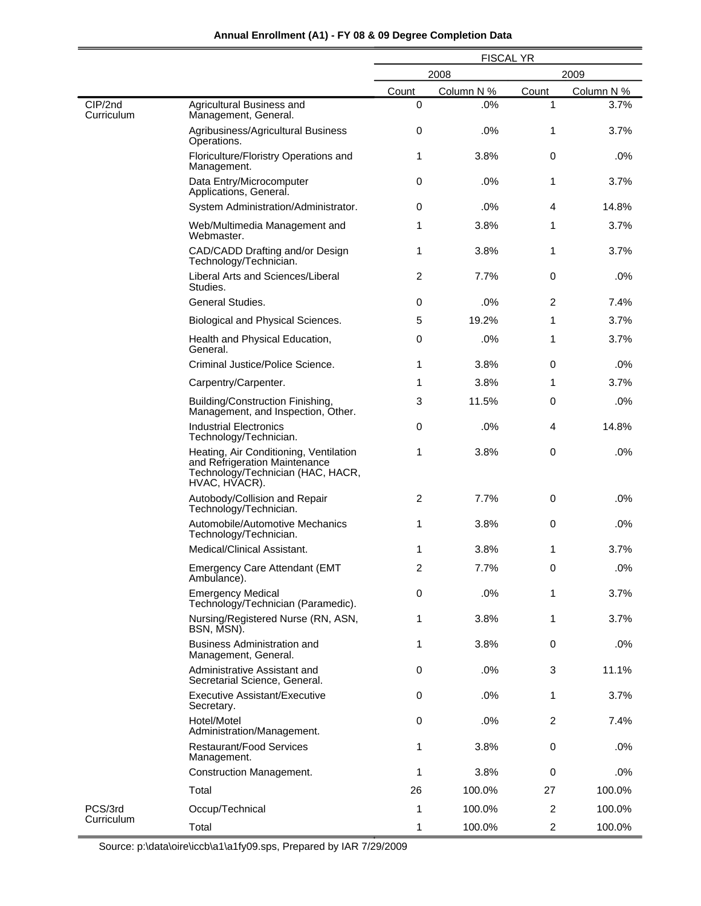|                       |                                                                                                                               | <b>FISCAL YR</b> |            |                |            |
|-----------------------|-------------------------------------------------------------------------------------------------------------------------------|------------------|------------|----------------|------------|
|                       |                                                                                                                               |                  | 2008       |                | 2009       |
|                       |                                                                                                                               | Count            | Column N % | Count          | Column N % |
| CIP/2nd<br>Curriculum | Agricultural Business and<br>Management, General.                                                                             | 0                | .0%        | 1              | 3.7%       |
|                       | Agribusiness/Agricultural Business<br>Operations.                                                                             | 0                | .0%        | 1              | 3.7%       |
|                       | Floriculture/Floristry Operations and<br>Management.                                                                          | 1                | 3.8%       | $\mathbf 0$    | .0%        |
|                       | Data Entry/Microcomputer<br>Applications, General.                                                                            | 0                | .0%        | 1              | 3.7%       |
|                       | System Administration/Administrator.                                                                                          | 0                | .0%        | 4              | 14.8%      |
|                       | Web/Multimedia Management and<br>Webmaster.                                                                                   | 1                | 3.8%       | 1              | 3.7%       |
|                       | CAD/CADD Drafting and/or Design<br>Technology/Technician.                                                                     | 1                | 3.8%       | 1              | 3.7%       |
|                       | Liberal Arts and Sciences/Liberal<br>Studies.                                                                                 | 2                | 7.7%       | $\mathbf 0$    | .0%        |
|                       | General Studies.                                                                                                              | 0                | .0%        | 2              | 7.4%       |
|                       | Biological and Physical Sciences.                                                                                             | 5                | 19.2%      | 1              | 3.7%       |
|                       | Health and Physical Education,<br>General.                                                                                    | 0                | .0%        | 1              | 3.7%       |
|                       | Criminal Justice/Police Science.                                                                                              | 1                | 3.8%       | 0              | .0%        |
|                       | Carpentry/Carpenter.                                                                                                          | 1                | 3.8%       | 1              | 3.7%       |
|                       | Building/Construction Finishing,<br>Management, and Inspection, Other.                                                        | 3                | 11.5%      | 0              | .0%        |
|                       | <b>Industrial Electronics</b><br>Technology/Technician.                                                                       | $\mathbf 0$      | .0%        | 4              | 14.8%      |
|                       | Heating, Air Conditioning, Ventilation<br>and Refrigeration Maintenance<br>Technology/Technician (HAC, HACR,<br>HVAC, HVACR). | 1                | 3.8%       | 0              | .0%        |
|                       | Autobody/Collision and Repair<br>Technology/Technician.                                                                       | 2                | 7.7%       | 0              | .0%        |
|                       | Automobile/Automotive Mechanics<br>Technology/Technician.                                                                     | 1                | 3.8%       | 0              | .0%        |
|                       | Medical/Clinical Assistant.                                                                                                   | 1                | 3.8%       | 1              | 3.7%       |
|                       | Emergency Care Attendant (EMT<br>Ambulance).                                                                                  | $\overline{c}$   | 7.7%       | $\pmb{0}$      | .0%        |
|                       | <b>Emergency Medical</b><br>Technology/Technician (Paramedic).                                                                | 0                | .0%        | 1              | 3.7%       |
|                       | Nursing/Registered Nurse (RN, ASN,<br>BSN, MSN).                                                                              | 1                | 3.8%       | 1              | 3.7%       |
|                       | Business Administration and<br>Management, General.                                                                           | 1                | 3.8%       | $\mathbf 0$    | .0%        |
|                       | Administrative Assistant and<br>Secretarial Science, General.                                                                 | 0                | .0%        | 3              | 11.1%      |
|                       | <b>Executive Assistant/Executive</b><br>Secretary.                                                                            | 0                | .0%        | 1              | 3.7%       |
|                       | Hotel/Motel<br>Administration/Management.                                                                                     | 0                | .0%        | $\overline{2}$ | 7.4%       |
|                       | <b>Restaurant/Food Services</b><br>Management.                                                                                | 1                | 3.8%       | 0              | .0%        |
|                       | <b>Construction Management.</b>                                                                                               | 1                | 3.8%       | 0              | .0%        |
|                       | Total                                                                                                                         | 26               | 100.0%     | 27             | 100.0%     |
| PCS/3rd               | Occup/Technical                                                                                                               | 1                | 100.0%     | $\overline{2}$ | 100.0%     |
| Curriculum            | Total                                                                                                                         | 1                | 100.0%     | $\overline{2}$ | 100.0%     |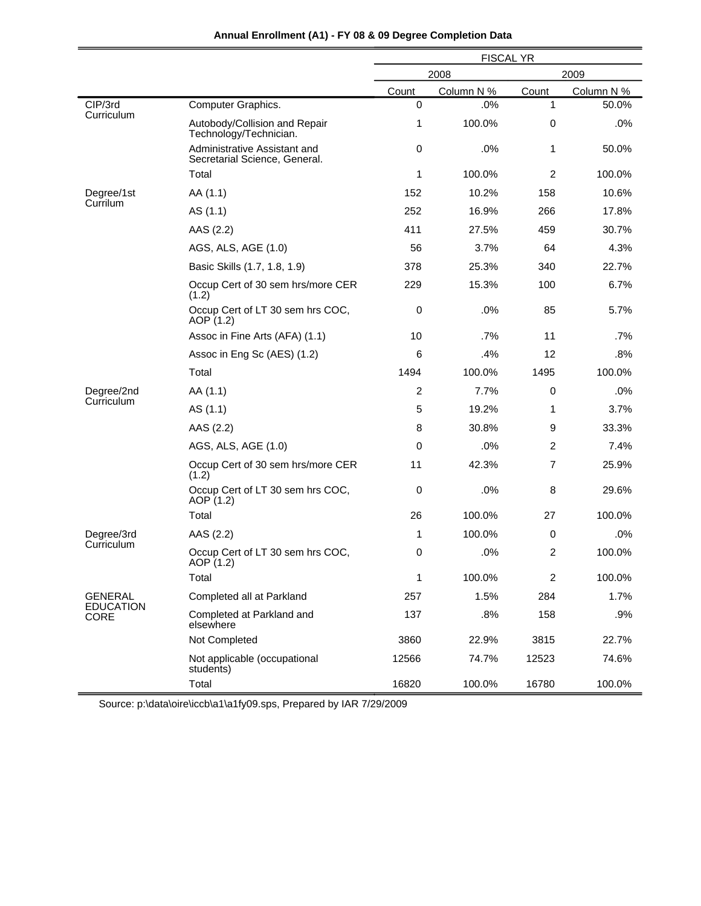|                                 |                                                               | <b>FISCAL YR</b> |            |                |            |
|---------------------------------|---------------------------------------------------------------|------------------|------------|----------------|------------|
|                                 |                                                               | 2008             |            | 2009           |            |
|                                 |                                                               | Count            | Column N % | Count          | Column N % |
| CIP/3rd                         | Computer Graphics.                                            | $\Omega$         | .0%        | 1              | 50.0%      |
| Curriculum                      | Autobody/Collision and Repair<br>Technology/Technician.       | 1                | 100.0%     | 0              | .0%        |
|                                 | Administrative Assistant and<br>Secretarial Science, General. | $\mathbf 0$      | .0%        | 1              | 50.0%      |
|                                 | Total                                                         | 1                | 100.0%     | 2              | 100.0%     |
| Degree/1st                      | AA (1.1)                                                      | 152              | 10.2%      | 158            | 10.6%      |
| Currilum                        | AS (1.1)                                                      | 252              | 16.9%      | 266            | 17.8%      |
|                                 | AAS (2.2)                                                     | 411              | 27.5%      | 459            | 30.7%      |
|                                 | AGS, ALS, AGE (1.0)                                           | 56               | 3.7%       | 64             | 4.3%       |
|                                 | Basic Skills (1.7, 1.8, 1.9)                                  | 378              | 25.3%      | 340            | 22.7%      |
|                                 | Occup Cert of 30 sem hrs/more CER<br>(1.2)                    | 229              | 15.3%      | 100            | 6.7%       |
|                                 | Occup Cert of LT 30 sem hrs COC,<br>AOP (1.2)                 | $\mathbf 0$      | .0%        | 85             | 5.7%       |
|                                 | Assoc in Fine Arts (AFA) (1.1)                                | 10               | .7%        | 11             | .7%        |
|                                 | Assoc in Eng Sc (AES) (1.2)                                   | 6                | .4%        | 12             | .8%        |
|                                 | Total                                                         | 1494             | 100.0%     | 1495           | 100.0%     |
| Degree/2nd                      | AA (1.1)                                                      | 2                | 7.7%       | 0              | .0%        |
| Curriculum                      | AS (1.1)                                                      | 5                | 19.2%      | 1              | 3.7%       |
|                                 | AAS (2.2)                                                     | 8                | 30.8%      | 9              | 33.3%      |
|                                 | AGS, ALS, AGE (1.0)                                           | $\mathbf 0$      | $.0\%$     | $\overline{c}$ | 7.4%       |
|                                 | Occup Cert of 30 sem hrs/more CER<br>(1.2)                    | 11               | 42.3%      | $\overline{7}$ | 25.9%      |
|                                 | Occup Cert of LT 30 sem hrs COC,<br>AOP (1.2)                 | $\pmb{0}$        | .0%        | 8              | 29.6%      |
|                                 | Total                                                         | 26               | 100.0%     | 27             | 100.0%     |
| Degree/3rd                      | AAS (2.2)                                                     | 1                | 100.0%     | 0              | .0%        |
| Curriculum                      | Occup Cert of LT 30 sem hrs COC,<br>AOP (1.2)                 | 0                | .0%        | 2              | 100.0%     |
|                                 | Total                                                         | $\mathbf{1}$     | 100.0%     | 2              | 100.0%     |
| <b>GENERAL</b>                  | Completed all at Parkland                                     | 257              | 1.5%       | 284            | 1.7%       |
| <b>EDUCATION</b><br><b>CORE</b> | Completed at Parkland and<br>elsewhere                        | 137              | .8%        | 158            | .9%        |
|                                 | Not Completed                                                 | 3860             | 22.9%      | 3815           | 22.7%      |
|                                 | Not applicable (occupational<br>students)                     | 12566            | 74.7%      | 12523          | 74.6%      |
|                                 | Total                                                         | 16820            | 100.0%     | 16780          | 100.0%     |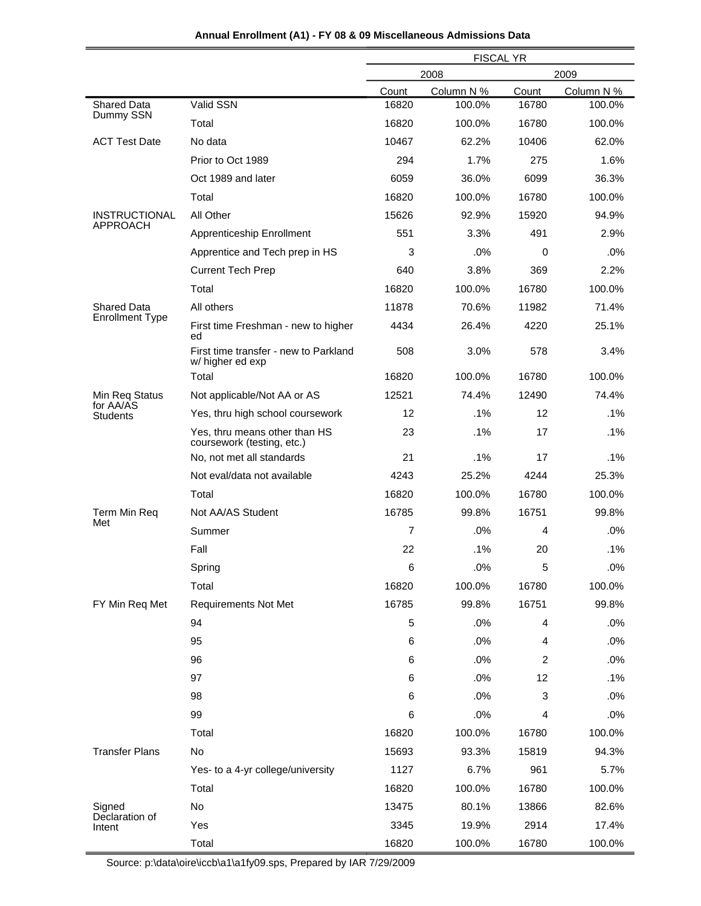|  | Annual Enrollment (A1) - FY 08 & 09 Miscellaneous Admissions Data |  |
|--|-------------------------------------------------------------------|--|
|--|-------------------------------------------------------------------|--|

|                                 |                                                             | <b>FISCAL YR</b> |            |       |            |
|---------------------------------|-------------------------------------------------------------|------------------|------------|-------|------------|
|                                 |                                                             | 2008<br>2009     |            |       |            |
|                                 |                                                             | Count            | Column N % | Count | Column N % |
| <b>Shared Data</b><br>Dummy SSN | Valid SSN                                                   | 16820            | 100.0%     | 16780 | 100.0%     |
|                                 | Total                                                       | 16820            | 100.0%     | 16780 | 100.0%     |
| <b>ACT Test Date</b>            | No data                                                     | 10467            | 62.2%      | 10406 | 62.0%      |
|                                 | Prior to Oct 1989                                           | 294              | 1.7%       | 275   | 1.6%       |
|                                 | Oct 1989 and later                                          | 6059             | 36.0%      | 6099  | 36.3%      |
|                                 | Total                                                       | 16820            | 100.0%     | 16780 | 100.0%     |
| <b>INSTRUCTIONAL</b>            | All Other                                                   | 15626            | 92.9%      | 15920 | 94.9%      |
| <b>APPROACH</b>                 | Apprenticeship Enrollment                                   | 551              | 3.3%       | 491   | 2.9%       |
|                                 | Apprentice and Tech prep in HS                              | 3                | .0%        | 0     | .0%        |
|                                 | <b>Current Tech Prep</b>                                    | 640              | 3.8%       | 369   | 2.2%       |
|                                 | Total                                                       | 16820            | 100.0%     | 16780 | 100.0%     |
| <b>Shared Data</b>              | All others                                                  | 11878            | 70.6%      | 11982 | 71.4%      |
| <b>Enrollment Type</b>          | First time Freshman - new to higher<br>ed                   | 4434             | 26.4%      | 4220  | 25.1%      |
|                                 | First time transfer - new to Parkland<br>w/ higher ed exp   | 508              | 3.0%       | 578   | 3.4%       |
|                                 | Total                                                       | 16820            | 100.0%     | 16780 | 100.0%     |
| Min Req Status<br>for AA/AS     | Not applicable/Not AA or AS                                 | 12521            | 74.4%      | 12490 | 74.4%      |
| <b>Students</b>                 | Yes, thru high school coursework                            | 12               | .1%        | 12    | .1%        |
|                                 | Yes, thru means other than HS<br>coursework (testing, etc.) | 23               | .1%        | 17    | .1%        |
|                                 | No, not met all standards                                   | 21               | .1%        | 17    | $.1\%$     |
|                                 | Not eval/data not available                                 | 4243             | 25.2%      | 4244  | 25.3%      |
|                                 | Total                                                       | 16820            | 100.0%     | 16780 | 100.0%     |
| Term Min Req<br>Met             | Not AA/AS Student                                           | 16785            | 99.8%      | 16751 | 99.8%      |
|                                 | Summer                                                      | 7                | .0%        | 4     | .0%        |
|                                 | Fall                                                        | 22               | .1%        | 20    | .1%        |
|                                 | Spring                                                      | 6                | .0%        | 5     | .0%        |
|                                 | Total                                                       | 16820            | 100.0%     | 16780 | 100.0%     |
| FY Min Req Met                  | <b>Requirements Not Met</b>                                 | 16785            | 99.8%      | 16751 | 99.8%      |
|                                 | 94                                                          | 5                | .0%        | 4     | .0%        |
|                                 | 95                                                          | 6                | .0%        | 4     | .0%        |
|                                 | 96                                                          | 6                | .0%        | 2     | .0%        |
|                                 | 97                                                          | 6                | .0%        | 12    | .1%        |
|                                 | 98                                                          | 6                | .0%        | 3     | .0%        |
|                                 | 99                                                          | 6                | .0%        | 4     | .0%        |
|                                 | Total                                                       | 16820            | 100.0%     | 16780 | 100.0%     |
| <b>Transfer Plans</b>           | No                                                          | 15693            | 93.3%      | 15819 | 94.3%      |
|                                 | Yes- to a 4-yr college/university                           | 1127             | 6.7%       | 961   | 5.7%       |
|                                 | Total                                                       | 16820            | 100.0%     | 16780 | 100.0%     |
| Signed                          | No                                                          | 13475            | 80.1%      | 13866 | 82.6%      |
| Declaration of<br>Intent        | Yes                                                         | 3345             | 19.9%      | 2914  | 17.4%      |
|                                 | Total                                                       | 16820            | 100.0%     | 16780 | 100.0%     |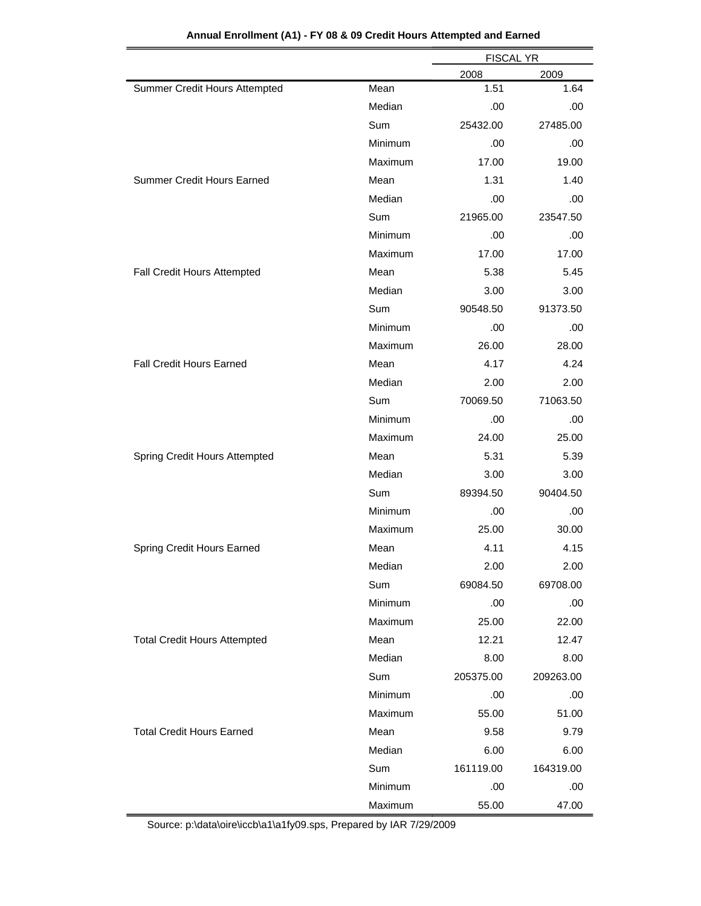|                                     |         | <b>FISCAL YR</b> |           |  |
|-------------------------------------|---------|------------------|-----------|--|
|                                     |         | 2008             | 2009      |  |
| Summer Credit Hours Attempted       | Mean    | 1.51             | 1.64      |  |
|                                     | Median  | .00              | .00       |  |
|                                     | Sum     | 25432.00         | 27485.00  |  |
|                                     | Minimum | .00              | .00       |  |
|                                     | Maximum | 17.00            | 19.00     |  |
| <b>Summer Credit Hours Earned</b>   | Mean    | 1.31             | 1.40      |  |
|                                     | Median  | .00              | .00       |  |
|                                     | Sum     | 21965.00         | 23547.50  |  |
|                                     | Minimum | .00              | .00       |  |
|                                     | Maximum | 17.00            | 17.00     |  |
| Fall Credit Hours Attempted         | Mean    | 5.38             | 5.45      |  |
|                                     | Median  | 3.00             | 3.00      |  |
|                                     | Sum     | 90548.50         | 91373.50  |  |
|                                     | Minimum | .00              | .00       |  |
|                                     | Maximum | 26.00            | 28.00     |  |
| <b>Fall Credit Hours Earned</b>     | Mean    | 4.17             | 4.24      |  |
|                                     | Median  | 2.00             | 2.00      |  |
|                                     | Sum     | 70069.50         | 71063.50  |  |
|                                     | Minimum | .00              | .00       |  |
|                                     | Maximum | 24.00            | 25.00     |  |
| Spring Credit Hours Attempted       | Mean    | 5.31             | 5.39      |  |
|                                     | Median  | 3.00             | 3.00      |  |
|                                     | Sum     | 89394.50         | 90404.50  |  |
|                                     | Minimum | .00              | .00       |  |
|                                     | Maximum | 25.00            | 30.00     |  |
| Spring Credit Hours Earned          | Mean    | 4.11             | 4.15      |  |
|                                     | Median  | 2.00             | 2.00      |  |
|                                     | Sum     | 69084.50         | 69708.00  |  |
|                                     | Minimum | .00              | .00       |  |
|                                     | Maximum | 25.00            | 22.00     |  |
| <b>Total Credit Hours Attempted</b> | Mean    | 12.21            | 12.47     |  |
|                                     | Median  | 8.00             | 8.00      |  |
|                                     | Sum     | 205375.00        | 209263.00 |  |
|                                     | Minimum | .00              | .00       |  |
|                                     | Maximum | 55.00            | 51.00     |  |
| <b>Total Credit Hours Earned</b>    | Mean    | 9.58             | 9.79      |  |
|                                     | Median  | 6.00             | 6.00      |  |
|                                     | Sum     | 161119.00        | 164319.00 |  |
|                                     | Minimum | .00              | .00       |  |
|                                     | Maximum | 55.00            | 47.00     |  |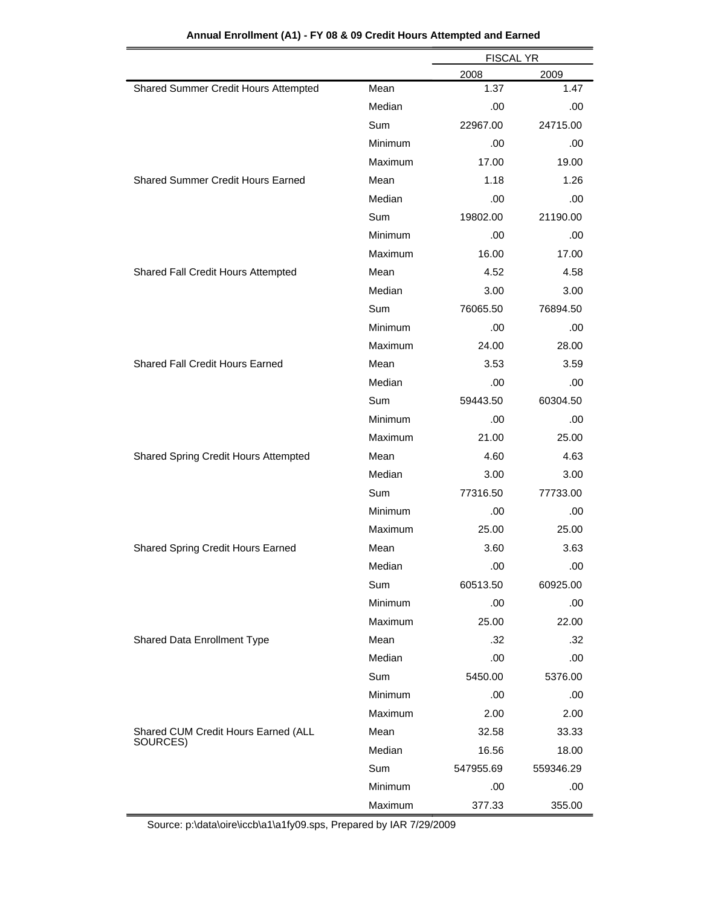|                                          |         | <b>FISCAL YR</b> |           |  |
|------------------------------------------|---------|------------------|-----------|--|
|                                          |         | 2008             | 2009      |  |
| Shared Summer Credit Hours Attempted     | Mean    | 1.37             | 1.47      |  |
|                                          | Median  | .00              | .00       |  |
|                                          | Sum     | 22967.00         | 24715.00  |  |
|                                          | Minimum | .00              | .00       |  |
|                                          | Maximum | 17.00            | 19.00     |  |
| <b>Shared Summer Credit Hours Earned</b> | Mean    | 1.18             | 1.26      |  |
|                                          | Median  | .00              | .00       |  |
|                                          | Sum     | 19802.00         | 21190.00  |  |
|                                          | Minimum | .00              | .00       |  |
|                                          | Maximum | 16.00            | 17.00     |  |
| Shared Fall Credit Hours Attempted       | Mean    | 4.52             | 4.58      |  |
|                                          | Median  | 3.00             | 3.00      |  |
|                                          | Sum     | 76065.50         | 76894.50  |  |
|                                          | Minimum | .00              | .00       |  |
|                                          | Maximum | 24.00            | 28.00     |  |
| Shared Fall Credit Hours Earned          | Mean    | 3.53             | 3.59      |  |
|                                          | Median  | .00              | .00       |  |
|                                          | Sum     | 59443.50         | 60304.50  |  |
|                                          | Minimum | .00              | .00       |  |
|                                          | Maximum | 21.00            | 25.00     |  |
| Shared Spring Credit Hours Attempted     | Mean    | 4.60             | 4.63      |  |
|                                          | Median  | 3.00             | 3.00      |  |
|                                          | Sum     | 77316.50         | 77733.00  |  |
|                                          | Minimum | .00              | .00       |  |
|                                          | Maximum | 25.00            | 25.00     |  |
| Shared Spring Credit Hours Earned        | Mean    | 3.60             | 3.63      |  |
|                                          | Median  | .00              | .00       |  |
|                                          | Sum     | 60513.50         | 60925.00  |  |
|                                          | Minimum | .00              | .00       |  |
|                                          | Maximum | 25.00            | 22.00     |  |
| Shared Data Enrollment Type              | Mean    | .32              | .32       |  |
|                                          | Median  | .00              | .00       |  |
|                                          | Sum     | 5450.00          | 5376.00   |  |
|                                          | Minimum | .00              | .00       |  |
|                                          | Maximum | 2.00             | 2.00      |  |
| Shared CUM Credit Hours Earned (ALL      | Mean    | 32.58            | 33.33     |  |
| SOURCES)                                 | Median  | 16.56            | 18.00     |  |
|                                          | Sum     | 547955.69        | 559346.29 |  |
|                                          | Minimum | .00              | .00       |  |
|                                          | Maximum | 377.33           | 355.00    |  |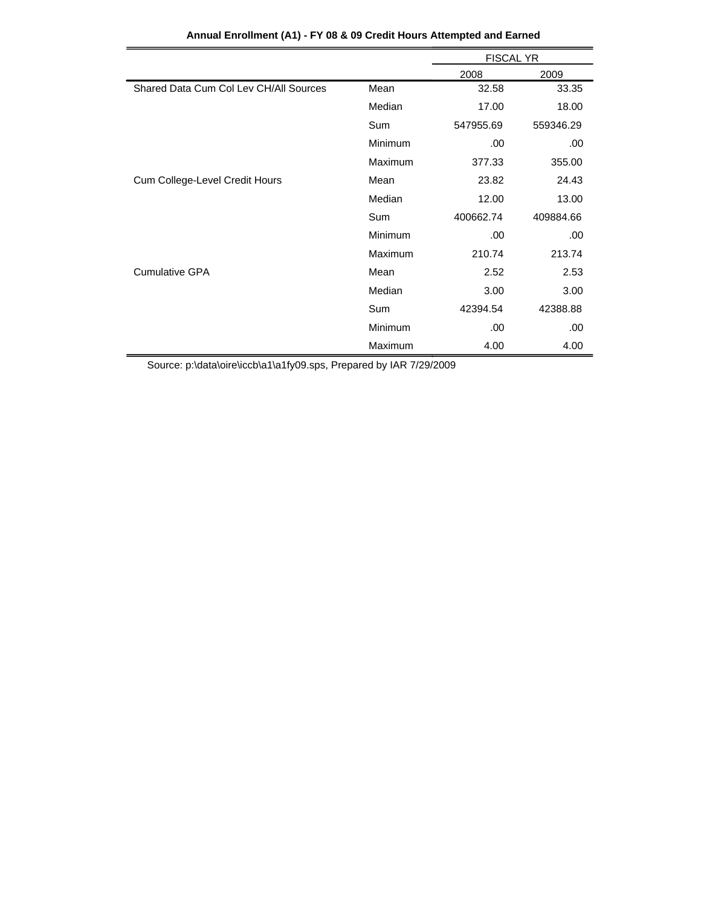|                                        |                | <b>FISCAL YR</b> |           |
|----------------------------------------|----------------|------------------|-----------|
|                                        |                | 2008             | 2009      |
| Shared Data Cum Col Lev CH/All Sources | Mean           | 32.58            | 33.35     |
|                                        | Median         | 17.00            | 18.00     |
|                                        | Sum            | 547955.69        | 559346.29 |
|                                        | Minimum        | .00.             | .00.      |
|                                        | Maximum        | 377.33           | 355.00    |
| Cum College-Level Credit Hours         | Mean           | 23.82            | 24.43     |
|                                        | Median         | 12.00            | 13.00     |
|                                        | Sum            | 400662.74        | 409884.66 |
|                                        | Minimum        | .00.             | .00       |
|                                        | <b>Maximum</b> | 210.74           | 213.74    |
| <b>Cumulative GPA</b>                  | Mean           | 2.52             | 2.53      |
|                                        | Median         | 3.00             | 3.00      |
|                                        | Sum            | 42394.54         | 42388.88  |
|                                        | Minimum        | .00.             | .00.      |
|                                        | Maximum        | 4.00             | 4.00      |

|  | Annual Enrollment (A1) - FY 08 & 09 Credit Hours Attempted and Earned |  |  |  |  |  |  |  |
|--|-----------------------------------------------------------------------|--|--|--|--|--|--|--|
|--|-----------------------------------------------------------------------|--|--|--|--|--|--|--|